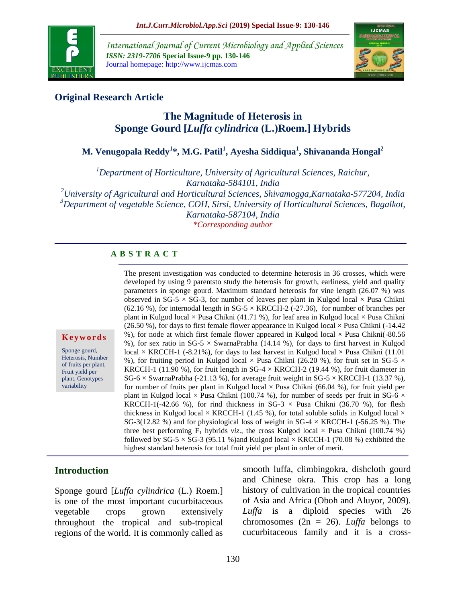

*International Journal of Current Microbiology and Applied Sciences ISSN: 2319-7706* **Special Issue-9 pp. 130-146** Journal homepage: http://www.ijcmas.com



#### **Original Research Article**

# **The Magnitude of Heterosis in Sponge Gourd [***Luffa cylindrica* **(L.)Roem.] Hybrids**

# **M. Venugopala Reddy<sup>1</sup> \*, M.G. Patil<sup>1</sup> , Ayesha Siddiqua<sup>1</sup> , Shivananda Hongal<sup>2</sup>**

*<sup>1</sup>Department of Horticulture, University of Agricultural Sciences, Raichur, Karnataka-584101, India*

*<sup>2</sup>University of Agricultural and Horticultural Sciences, Shivamogga,Karnataka-577204, India <sup>3</sup>Department of vegetable Science, COH, Sirsi, University of Horticultural Sciences, Bagalkot, Karnataka-587104, India*

*\*Corresponding author*

#### **A B S T R A C T**

**K e y w o r d s**

Sponge gourd, Heterosis, Number of fruits per plant, Fruit yield per plant, Genotypes variability

The present investigation was conducted to determine heterosis in 36 crosses, which were developed by using 9 parentsto study the heterosis for growth, earliness, yield and quality parameters in sponge gourd. Maximum standard heterosis for vine length (26.07 %) was observed in SG-5  $\times$  SG-3, for number of leaves per plant in Kulgod local  $\times$  Pusa Chikni (62.16 %), for internodal length in SG-5  $\times$  KRCCH-2 (-27.36), for number of branches per plant in Kulgod local  $\times$  Pusa Chikni (41.71 %), for leaf area in Kulgod local  $\times$  Pusa Chikni (26.50 %), for days to first female flower appearance in Kulgod local  $\times$  Pusa Chikni (-14.42) %), for node at which first female flower appeared in Kulgod local  $\times$  Pusa Chikni(-80.56 %), for sex ratio in SG-5  $\times$  SwarnaPrabha (14.14 %), for days to first harvest in Kulgod local  $\times$  KRCCH-1 (-8.21%), for days to last harvest in Kulgod local  $\times$  Pusa Chikni (11.01) %), for fruiting period in Kulgod local  $\times$  Pusa Chikni (26.20 %), for fruit set in SG-5  $\times$ KRCCH-1 (11.90 %), for fruit length in SG-4  $\times$  KRCCH-2 (19.44 %), for fruit diameter in  $SG-6 \times SwarnaPrabha (-21.13 \%)$ , for average fruit weight in  $SG-5 \times KRCCH-1$  (13.37 %), for number of fruits per plant in Kulgod local  $\times$  Pusa Chikni (66.04 %), for fruit yield per plant in Kulgod local  $\times$  Pusa Chikni (100.74 %), for number of seeds per fruit in SG-6  $\times$ KRCCH-1(-42.66 %), for rind thickness in SG-3  $\times$  Pusa Chikni (36.70 %), for flesh thickness in Kulgod local  $\times$  KRCCH-1 (1.45 %), for total soluble solids in Kulgod local  $\times$ SG-3(12.82 %) and for physiological loss of weight in SG-4  $\times$  KRCCH-1 (-56.25 %). The three best performing  $F_1$  hybrids *viz*., the cross Kulgod local  $\times$  Pusa Chikni (100.74 %) followed by SG-5  $\times$  SG-3 (95.11 %)and Kulgod local  $\times$  KRCCH-1 (70.08 %) exhibited the highest standard heterosis for total fruit yield per plant in order of merit.

#### **Introduction**

Sponge gourd [*Luffa cylindrica* (L.) Roem.] is one of the most important cucurbitaceous vegetable crops grown extensively throughout the tropical and sub-tropical regions of the world. It is commonly called as smooth luffa, climbingokra, dishcloth gourd and Chinese okra. This crop has a long history of cultivation in the tropical countries of Asia and Africa (Oboh and Aluyor, 2009). *Luffa* is a diploid species with 26 chromosomes ( $2n = 26$ ). *Luffa* belongs to cucurbitaceous family and it is a cross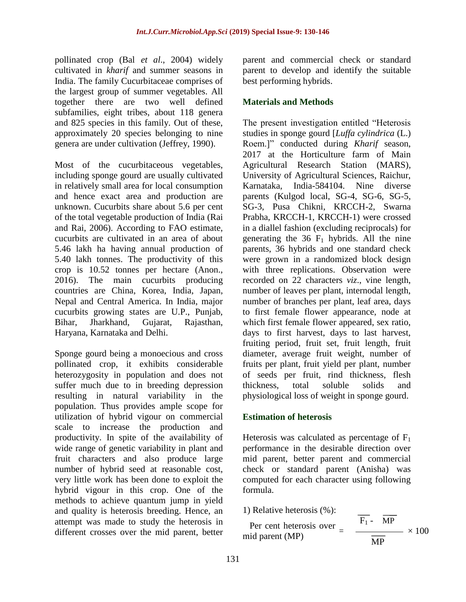pollinated crop (Bal *et al*., 2004) widely cultivated in *kharif* and summer seasons in India. The family Cucurbitaceae comprises of the largest group of summer vegetables. All together there are two well defined subfamilies, eight tribes, about 118 genera and 825 species in this family. Out of these, approximately 20 species belonging to nine genera are under cultivation (Jeffrey, 1990).

Most of the cucurbitaceous vegetables, including sponge gourd are usually cultivated in relatively small area for local consumption and hence exact area and production are unknown. Cucurbits share about 5.6 per cent of the total vegetable production of India (Rai and Rai, 2006). According to FAO estimate, cucurbits are cultivated in an area of about 5.46 lakh ha having annual production of 5.40 lakh tonnes. The productivity of this crop is 10.52 tonnes per hectare (Anon., 2016). The main cucurbits producing countries are China, Korea, India, Japan, Nepal and Central America. In India, major cucurbits growing states are U.P., Punjab, Bihar, Jharkhand, Gujarat, Rajasthan, Haryana, Karnataka and Delhi.

Sponge gourd being a monoecious and cross pollinated crop, it exhibits considerable heterozygosity in population and does not suffer much due to in breeding depression resulting in natural variability in the population. Thus provides ample scope for utilization of hybrid vigour on commercial scale to increase the production and productivity. In spite of the availability of wide range of genetic variability in plant and fruit characters and also produce large number of hybrid seed at reasonable cost, very little work has been done to exploit the hybrid vigour in this crop. One of the methods to achieve quantum jump in yield and quality is heterosis breeding. Hence, an attempt was made to study the heterosis in different crosses over the mid parent, better

parent and commercial check or standard parent to develop and identify the suitable best performing hybrids.

#### **Materials and Methods**

The present investigation entitled "Heterosis studies in sponge gourd [*Luffa cylindrica* (L.) Roem.]" conducted during *Kharif* season, 2017 at the Horticulture farm of Main Agricultural Research Station (MARS), University of Agricultural Sciences, Raichur, Karnataka, India-584104. Nine diverse parents (Kulgod local, SG-4, SG-6, SG-5, SG-3, Pusa Chikni, KRCCH-2, Swarna Prabha, KRCCH-1, KRCCH-1) were crossed in a diallel fashion (excluding reciprocals) for generating the 36  $F_1$  hybrids. All the nine parents, 36 hybrids and one standard check were grown in a randomized block design with three replications. Observation were recorded on 22 characters *viz*., vine length, number of leaves per plant, internodal length, number of branches per plant, leaf area, days to first female flower appearance, node at which first female flower appeared, sex ratio, days to first harvest, days to last harvest, fruiting period, fruit set, fruit length, fruit diameter, average fruit weight, number of fruits per plant, fruit yield per plant, number of seeds per fruit, rind thickness, flesh thickness, total soluble solids and physiological loss of weight in sponge gourd.

#### **Estimation of heterosis**

Heterosis was calculated as percentage of  $F_1$ performance in the desirable direction over mid parent, better parent and commercial check or standard parent (Anisha) was computed for each character using following formula.

1) Relative heterosis (%):

Per cent heterosis over =<br>mid parent (MP)  $F_1$  - MP  $- \times 100$ MP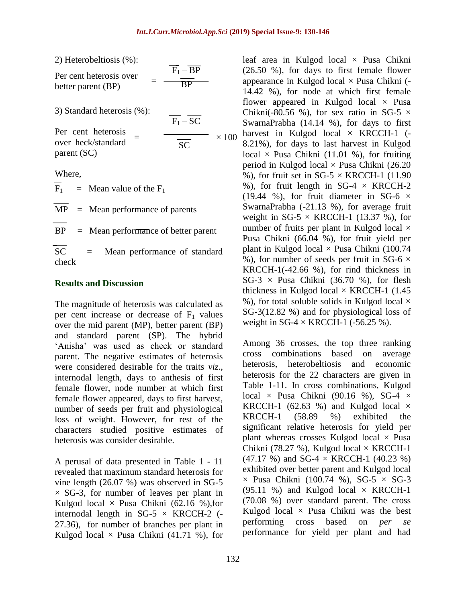$\times$  100

| 2) Heterobeltiosis (%): |  |
|-------------------------|--|
|-------------------------|--|

| Per cent heterosis over | $F_1 - BP$ |
|-------------------------|------------|
| better parent (BP)      | ВP         |

| 3) Standard heterosis (%): | $F_1 - SC$ |
|----------------------------|------------|
|                            |            |

Per cent heterosis over heck/standard parent (SC) = SC

Where,

 $F_1$  = Mean value of the  $F_1$  $MP = Mean performance of parents$  $BP = Mean performance of better parent$ SC = Mean performance of standard check

#### **Results and Discussion**

The magnitude of heterosis was calculated as per cent increase or decrease of  $F_1$  values over the mid parent (MP), better parent (BP) and standard parent (SP). The hybrid 'Anisha' was used as check or standard parent. The negative estimates of heterosis were considered desirable for the traits *viz*., internodal length, days to anthesis of first female flower, node number at which first female flower appeared, days to first harvest, number of seeds per fruit and physiological loss of weight. However, for rest of the characters studied positive estimates of heterosis was consider desirable.

A perusal of data presented in Table 1 - 11 revealed that maximum standard heterosis for vine length (26.07 %) was observed in SG-5  $\times$  SG-3, for number of leaves per plant in Kulgod local  $\times$  Pusa Chikni (62.16 %), for internodal length in  $SG-5 \times KRCCH-2$  (-27.36), for number of branches per plant in Kulgod local  $\times$  Pusa Chikni (41.71 %), for leaf area in Kulgod local  $\times$  Pusa Chikni (26.50 %), for days to first female flower appearance in Kulgod local  $\times$  Pusa Chikni (-14.42 %), for node at which first female flower appeared in Kulgod local  $\times$  Pusa Chikni(-80.56 %), for sex ratio in SG-5  $\times$ SwarnaPrabha (14.14 %), for days to first harvest in Kulgod local  $\times$  KRCCH-1 (-8.21%), for days to last harvest in Kulgod local  $\times$  Pusa Chikni (11.01 %), for fruiting period in Kulgod local  $\times$  Pusa Chikni (26.20) %), for fruit set in SG-5  $\times$  KRCCH-1 (11.90) %), for fruit length in SG-4  $\times$  KRCCH-2 (19.44 %), for fruit diameter in SG-6  $\times$ SwarnaPrabha (-21.13 %), for average fruit weight in SG-5  $\times$  KRCCH-1 (13.37 %), for number of fruits per plant in Kulgod local  $\times$ Pusa Chikni (66.04 %), for fruit yield per plant in Kulgod local  $\times$  Pusa Chikni (100.74 %), for number of seeds per fruit in SG-6  $\times$ KRCCH-1(-42.66 %), for rind thickness in  $SG-3 \times P$ usa Chikni (36.70 %), for flesh thickness in Kulgod local  $\times$  KRCCH-1 (1.45) %), for total soluble solids in Kulgod local  $\times$ SG-3(12.82 %) and for physiological loss of weight in SG-4  $\times$  KRCCH-1 (-56.25 %).

Among 36 crosses, the top three ranking cross combinations based on average heterosis, heterobeltiosis and economic heterosis for the 22 characters are given in Table 1-11. In cross combinations, Kulgod local  $\times$  Pusa Chikni (90.16 %), SG-4  $\times$ KRCCH-1 (62.63 %) and Kulgod local  $\times$ KRCCH-1 (58.89 %) exhibited the significant relative heterosis for yield per plant whereas crosses Kulgod local  $\times$  Pusa Chikni (78.27 %), Kulgod local  $\times$  KRCCH-1 (47.17 %) and SG-4  $\times$  KRCCH-1 (40.23 %) exhibited over better parent and Kulgod local  $\times$  Pusa Chikni (100.74 %), SG-5  $\times$  SG-3 (95.11 %) and Kulgod local  $\times$  KRCCH-1 (70.08 %) over standard parent. The cross Kulgod local  $\times$  Pusa Chikni was the best performing cross based on *per se* performance for yield per plant and had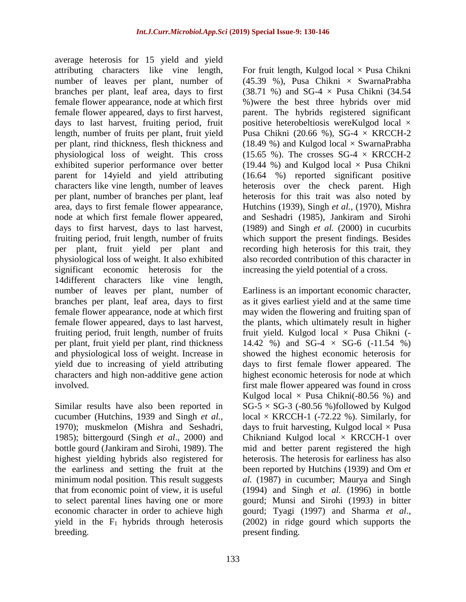average heterosis for 15 yield and yield attributing characters like vine length, number of leaves per plant, number of branches per plant, leaf area, days to first female flower appearance, node at which first female flower appeared, days to first harvest, days to last harvest, fruiting period, fruit length, number of fruits per plant, fruit yield per plant, rind thickness, flesh thickness and physiological loss of weight. This cross exhibited superior performance over better parent for 14yield and yield attributing characters like vine length, number of leaves per plant, number of branches per plant, leaf area, days to first female flower appearance, node at which first female flower appeared, days to first harvest, days to last harvest, fruiting period, fruit length, number of fruits per plant, fruit yield per plant and physiological loss of weight. It also exhibited significant economic heterosis for the 14different characters like vine length, number of leaves per plant, number of branches per plant, leaf area, days to first female flower appearance, node at which first female flower appeared, days to last harvest, fruiting period, fruit length, number of fruits per plant, fruit yield per plant, rind thickness and physiological loss of weight. Increase in yield due to increasing of yield attributing characters and high non-additive gene action involved.

Similar results have also been reported in cucumber (Hutchins, 1939 and Singh *et al.,* 1970); muskmelon (Mishra and Seshadri, 1985); bittergourd (Singh *et al*., 2000) and bottle gourd (Jankiram and Sirohi, 1989). The highest yielding hybrids also registered for the earliness and setting the fruit at the minimum nodal position. This result suggests that from economic point of view, it is useful to select parental lines having one or more economic character in order to achieve high yield in the  $F_1$  hybrids through heterosis breeding.

For fruit length, Kulgod local  $\times$  Pusa Chikni (45.39 %), Pusa Chikni × SwarnaPrabha (38.71 %) and SG-4 × Pusa Chikni (34.54 %)were the best three hybrids over mid parent. The hybrids registered significant positive heterobeltiosis wereKulgod local × Pusa Chikni (20.66 %), SG-4  $\times$  KRCCH-2 (18.49 %) and Kulgod local  $\times$  SwarnaPrabha (15.65 %). The crosses  $SG-4 \times KRCCH-2$ (19.44 %) and Kulgod local  $\times$  Pusa Chikni (16.64 %) reported significant positive heterosis over the check parent. High heterosis for this trait was also noted by Hutchins (1939), Singh *et al.,* (1970), Mishra and Seshadri (1985), Jankiram and Sirohi (1989) and Singh *et al.* (2000) in cucurbits which support the present findings. Besides recording high heterosis for this trait, they also recorded contribution of this character in increasing the yield potential of a cross.

Earliness is an important economic character, as it gives earliest yield and at the same time may widen the flowering and fruiting span of the plants, which ultimately result in higher fruit yield. Kulgod local  $\times$  Pusa Chikni (-14.42 %) and SG-4  $\times$  SG-6 (-11.54 %) showed the highest economic heterosis for days to first female flower appeared. The highest economic heterosis for node at which first male flower appeared was found in cross Kulgod local  $\times$  Pusa Chikni(-80.56 %) and  $SG-5 \times SG-3$  (-80.56 %)followed by Kulgod local  $\times$  KRCCH-1 (-72.22 %). Similarly, for days to fruit harvesting, Kulgod local  $\times$  Pusa Chikniand Kulgod local × KRCCH-1 over mid and better parent registered the high heterosis. The heterosis for earliness has also been reported by Hutchins (1939) and Om *et al.* (1987) in cucumber; Maurya and Singh (1994) and Singh *et al.* (1996) in bottle gourd; Munsi and Sirohi (1993) in bitter gourd; Tyagi (1997) and Sharma *et al*., (2002) in ridge gourd which supports the present finding.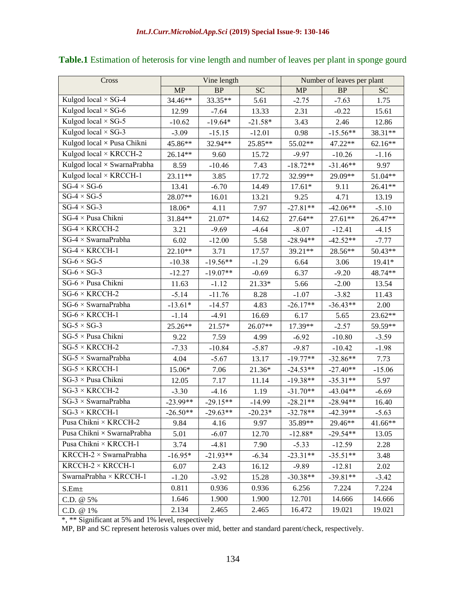| Cross                         |            | Vine length |           | Number of leaves per plant |            |           |
|-------------------------------|------------|-------------|-----------|----------------------------|------------|-----------|
|                               | MP         | BP          | <b>SC</b> | MP                         | $\rm BP$   | <b>SC</b> |
| Kulgod local $\times$ SG-4    | 34.46**    | 33.35**     | 5.61      | $-2.75$                    | $-7.63$    | 1.75      |
| Kulgod local $\times$ SG-6    | 12.99      | $-7.64$     | 13.33     | 2.31                       | $-0.22$    | 15.61     |
| Kulgod local $\times$ SG-5    | $-10.62$   | $-19.64*$   | $-21.58*$ | 3.43                       | 2.46       | 12.86     |
| Kulgod local $\times$ SG-3    | $-3.09$    | $-15.15$    | $-12.01$  | 0.98                       | $-15.56**$ | 38.31**   |
| Kulgod local × Pusa Chikni    | 45.86**    | 32.94**     | 25.85**   | 55.02**                    | 47.22**    | $62.16**$ |
| Kulgod local × KRCCH-2        | 26.14**    | 9.60        | 15.72     | $-9.97$                    | $-10.26$   | $-1.16$   |
| Kulgod local × SwarnaPrabha   | 8.59       | $-10.46$    | 7.43      | $-18.72**$                 | $-31.46**$ | 9.97      |
| Kulgod local $\times$ KRCCH-1 | 23.11**    | 3.85        | 17.72     | 32.99**                    | 29.09**    | 51.04**   |
| $SG-4 \times SG-6$            | 13.41      | $-6.70$     | 14.49     | $17.61*$                   | 9.11       | 26.41**   |
| $SG-4 \times SG-5$            | 28.07**    | 16.01       | 13.21     | 9.25                       | 4.71       | 13.19     |
| $SG-4 \times SG-3$            | 18.06*     | 4.11        | 7.97      | $-27.81**$                 | $-42.06**$ | $-5.10$   |
| SG-4 × Pusa Chikni            | 31.84**    | $21.07*$    | 14.62     | 27.64**                    | 27.61**    | 26.47**   |
| $SG-4 \times KRCCH-2$         | 3.21       | $-9.69$     | $-4.64$   | $-8.07$                    | $-12.41$   | $-4.15$   |
| $SG-4 \times SwarnaPrabha$    | 6.02       | $-12.00$    | 5.58      | $-28.94**$                 | $-42.52**$ | $-7.77$   |
| $SG-4 \times KRCCH-1$         | 22.10**    | 3.71        | 17.57     | 39.21**                    | 28.56**    | 50.43**   |
| $SG-6 \times SG-5$            | $-10.38$   | $-19.56**$  | $-1.29$   | 6.64                       | 3.06       | 19.41*    |
| $SG-6 \times SG-3$            | $-12.27$   | $-19.07**$  | $-0.69$   | 6.37                       | $-9.20$    | 48.74**   |
| SG-6 × Pusa Chikni            | 11.63      | $-1.12$     | 21.33*    | 5.66                       | $-2.00$    | 13.54     |
| $SG-6 \times KRCCH-2$         | $-5.14$    | $-11.76$    | 8.28      | $-1.07$                    | $-3.82$    | 11.43     |
| $SG-6 \times SwarnaPrabha$    | $-13.61*$  | $-14.57$    | 4.83      | $-26.17**$                 | $-36.43**$ | 2.00      |
| $SG-6 \times KRCCH-1$         | $-1.14$    | $-4.91$     | 16.69     | 6.17                       | 5.65       | 23.62**   |
| $SG-5 \times SG-3$            | 25.26**    | $21.57*$    | 26.07**   | 17.39**                    | $-2.57$    | 59.59**   |
| $SG-5 \times P$ usa Chikni    | 9.22       | 7.59        | 4.99      | $-6.92$                    | $-10.80$   | $-3.59$   |
| $SG-5 \times KRCCH-2$         | $-7.33$    | $-10.84$    | $-5.87$   | $-9.87$                    | $-10.42$   | $-1.98$   |
| $SG-5 \times SwarnaPrabha$    | 4.04       | $-5.67$     | 13.17     | $-19.77**$                 | $-32.86**$ | 7.73      |
| $SG-5 \times KRCCH-1$         | 15.06*     | 7.06        | 21.36*    | $-24.53**$                 | $-27.40**$ | $-15.06$  |
| $SG-3 \times P$ usa Chikni    | 12.05      | 7.17        | 11.14     | $-19.38**$                 | $-35.31**$ | 5.97      |
| $SG-3 \times KRCCH-2$         | $-3.30$    | $-4.16$     | 1.19      | $-31.70**$                 | $-43.04**$ | $-6.69$   |
| $SG-3 \times SwarnaPrabha$    | $-23.99**$ | $-29.15**$  | $-14.99$  | $-28.21**$                 | $-28.94**$ | 16.40     |
| $SG-3 \times KRCCH-1$         | $-26.50**$ | $-29.63**$  | $-20.23*$ | $-32.78**$                 | $-42.39**$ | $-5.63$   |
| Pusa Chikni × KRCCH-2         | 9.84       | 4.16        | 9.97      | 35.89**                    | 29.46**    | 41.66**   |
| Pusa Chikni × SwarnaPrabha    | 5.01       | $-6.07$     | 12.70     | $-12.88*$                  | $-29.54**$ | 13.05     |
| Pusa Chikni × KRCCH-1         | 3.74       | $-4.81$     | 7.90      | $-5.33$                    | $-12.59$   | 2.28      |
| $KRCCH-2 \times SwarnaPrabha$ | $-16.95*$  | $-21.93**$  | $-6.34$   | $-23.31**$                 | $-35.51**$ | 3.48      |
| $KRCCH-2 \times KRCCH-1$      | 6.07       | 2.43        | 16.12     | $-9.89$                    | $-12.81$   | 2.02      |
| SwarnaPrabha × KRCCH-1        | $-1.20$    | $-3.92$     | 15.28     | $-30.38**$                 | $-39.81**$ | $-3.42$   |
| $S.Em\pm$                     | 0.811      | 0.936       | 0.936     | 6.256                      | 7.224      | 7.224     |
| C.D. @ 5%                     | 1.646      | 1.900       | 1.900     | 12.701                     | 14.666     | 14.666    |
| C.D. @ 1%                     | 2.134      | 2.465       | 2.465     | 16.472                     | 19.021     | 19.021    |

# **Table.1** Estimation of heterosis for vine length and number of leaves per plant in sponge gourd

\*, \*\* Significant at 5% and 1% level, respectively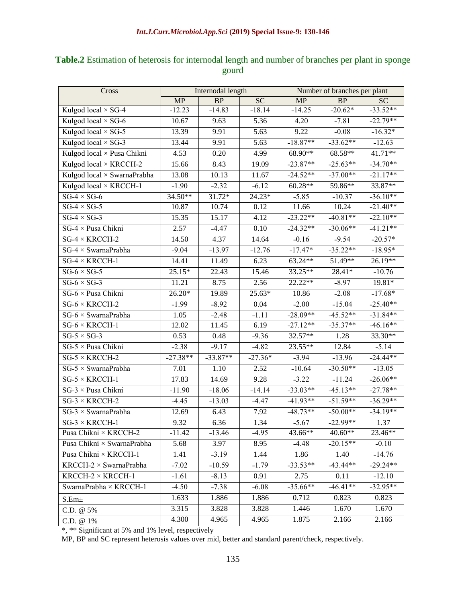| Cross                             | Internodal length |            | Number of branches per plant |            |            |            |
|-----------------------------------|-------------------|------------|------------------------------|------------|------------|------------|
|                                   | <b>MP</b>         | <b>BP</b>  | <b>SC</b>                    | <b>MP</b>  | <b>BP</b>  | <b>SC</b>  |
| Kulgod local $\times$ SG-4        | $-12.23$          | $-14.83$   | $-18.14$                     | $-14.25$   | $-20.62*$  | $-33.52**$ |
| Kulgod local $\times$ SG-6        | 10.67             | 9.63       | 5.36                         | 4.20       | $-7.81$    | $-22.79**$ |
| Kulgod local $\times$ SG-5        | 13.39             | 9.91       | 5.63                         | 9.22       | $-0.08$    | $-16.32*$  |
| Kulgod local $\times$ SG-3        | 13.44             | 9.91       | 5.63                         | $-18.87**$ | $-33.62**$ | $-12.63$   |
| Kulgod local × Pusa Chikni        | 4.53              | 0.20       | 4.99                         | $68.90**$  | 68.58**    | 41.71**    |
| Kulgod local × KRCCH-2            | 15.66             | 8.43       | 19.09                        | $-23.87**$ | $-25.63**$ | $-34.70**$ |
| Kulgod local × SwarnaPrabha       | 13.08             | 10.13      | 11.67                        | $-24.52**$ | $-37.00**$ | $-21.17**$ |
| Kulgod local × KRCCH-1            | $-1.90$           | $-2.32$    | $-6.12$                      | $60.28**$  | 59.86**    | 33.87**    |
| $SG-4 \times SG-6$                | 34.50**           | 31.72*     | 24.23*                       | $-5.85$    | $-10.37$   | $-36.10**$ |
| $SG-4 \times SG-5$                | 10.87             | 10.74      | 0.12                         | 11.66      | 10.24      | $-21.40**$ |
| $SG-4 \times SG-3$                | 15.35             | 15.17      | 4.12                         | $-23.22**$ | $-40.81**$ | $-22.10**$ |
| $SG-4 \times P$ usa Chikni        | 2.57              | $-4.47$    | 0.10                         | $-24.32**$ | $-30.06**$ | $-41.21**$ |
| $SG-4 \times KRCCH-2$             | 14.50             | 4.37       | 14.64                        | $-0.16$    | $-9.54$    | $-20.57*$  |
| $SG-4 \times SwarnaPrabha$        | $-9.04$           | $-13.97$   | $-12.76$                     | $-17.47*$  | $-35.22**$ | $-18.95*$  |
| $SG-4 \times KRCCH-1$             | 14.41             | 11.49      | 6.23                         | 63.24**    | 51.49**    | 26.19**    |
| $SG-6 \times SG-5$                | $25.15*$          | 22.43      | 15.46                        | 33.25**    | 28.41*     | $-10.76$   |
| $SG-6 \times SG-3$                | 11.21             | 8.75       | 2.56                         | 22.22**    | $-8.97$    | 19.81*     |
| SG-6 × Pusa Chikni                | 26.20*            | 19.89      | 25.63*                       | 10.86      | $-2.08$    | $-17.68*$  |
| $SG-6 \times KRCCH-2$             | $-1.99$           | $-8.92$    | 0.04                         | $-2.00$    | $-15.04$   | $-25.40**$ |
| $SG-6 \times SwarnaPrabha$        | 1.05              | $-2.48$    | $-1.11$                      | $-28.09**$ | $-45.52**$ | $-31.84**$ |
| $SG-6 \times KRCCH-1$             | 12.02             | 11.45      | 6.19                         | $-27.12**$ | $-35.37**$ | $-46.16**$ |
| $SG-5 \times SG-3$                | 0.53              | 0.48       | $-9.36$                      | 32.57**    | 1.28       | 33.30**    |
| $\overline{SG}$ -5 × Pusa Chikni  | $-2.38$           | $-9.17$    | $-4.82$                      | 23.55**    | 12.84      | $-5.14$    |
| $SG-5 \times KRCCH-2$             | $-27.38**$        | $-33.87**$ | $-27.36*$                    | $-3.94$    | $-13.96$   | $-24.44**$ |
| $SG-5 \times SwarnaPrabha$        | 7.01              | 1.10       | 2.52                         | $-10.64$   | $-30.50**$ | $-13.05$   |
| $SG-5 \times KRCCH-1$             | 17.83             | 14.69      | 9.28                         | $-3.22$    | $-11.24$   | $-26.06**$ |
| $SG-3 \times P$ usa Chikni        | $-11.90$          | $-18.06$   | $-14.14$                     | $-33.03**$ | $-45.13**$ | $-27.78**$ |
| $SG-3 \times KRCCH-2$             | $-4.45$           | $-13.03$   | $-4.47$                      | $-41.93**$ | $-51.59**$ | $-36.29**$ |
| $SG-3 \times SwarnaPrabha$        | 12.69             | 6.43       | 7.92                         | $-48.73**$ | $-50.00**$ | $-34.19**$ |
| $SG-3 \times KRCCH-1$             | 9.32              | 6.36       | 1.34                         | $-5.67$    | $-22.99**$ | 1.37       |
| Pusa Chikni × KRCCH-2             | $-11.42$          | $-13.46$   | $-4.95$                      | $43.66**$  | 40.60**    | $23.46**$  |
| Pusa Chikni $\times$ SwarnaPrabha | 5.68              | 3.97       | 8.95                         | $-4.48$    | $-20.15**$ | $-0.10$    |
| Pusa Chikni × KRCCH-1             | 1.41              | $-3.19$    | 1.44                         | 1.86       | 1.40       | $-14.76$   |
| $KRCCH-2 \times SwarnaPrabha$     | $-7.02$           | $-10.59$   | $-1.79$                      | $-33.53**$ | $-43.44**$ | $-29.24**$ |
| KRCCH- $2 \times$ KRCCH-1         | $-1.61$           | $-8.13$    | 0.91                         | 2.75       | 0.11       | $-12.10$   |
| SwarnaPrabha × KRCCH-1            | $-4.50$           | $-7.38$    | $-6.08$                      | $-35.66**$ | $-46.41**$ | $-32.95**$ |
| S.Em <sub>±</sub>                 | 1.633             | 1.886      | 1.886                        | 0.712      | 0.823      | 0.823      |
| C.D. @ 5%                         | 3.315             | 3.828      | 3.828                        | 1.446      | 1.670      | 1.670      |
| C.D. @ 1%                         | 4.300             | 4.965      | 4.965                        | 1.875      | 2.166      | 2.166      |

### **Table.2** Estimation of heterosis for internodal length and number of branches per plant in sponge gourd

\*, \*\* Significant at 5% and 1% level, respectively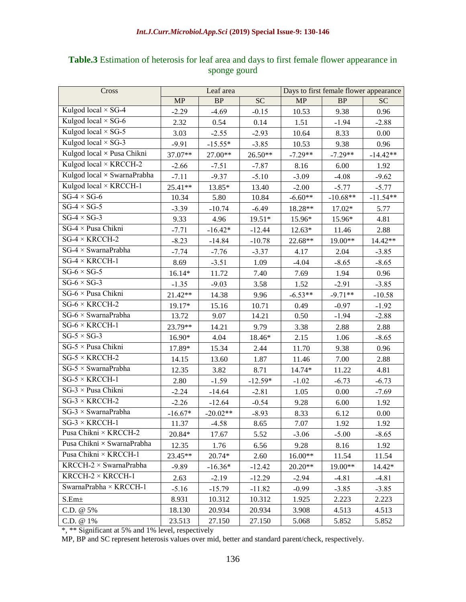| Cross                             | Leaf area |            | Days to first female flower appearance |           |            |            |
|-----------------------------------|-----------|------------|----------------------------------------|-----------|------------|------------|
|                                   | MP        | BP         | <b>SC</b>                              | MP        | $\rm BP$   | <b>SC</b>  |
| Kulgod local $\times$ SG-4        | $-2.29$   | $-4.69$    | $-0.15$                                | 10.53     | 9.38       | 0.96       |
| Kulgod local $\times$ SG-6        | 2.32      | 0.54       | 0.14                                   | 1.51      | $-1.94$    | $-2.88$    |
| Kulgod local $\times$ SG-5        | 3.03      | $-2.55$    | $-2.93$                                | 10.64     | 8.33       | 0.00       |
| Kulgod local $\times$ SG-3        | $-9.91$   | $-15.55*$  | $-3.85$                                | 10.53     | 9.38       | 0.96       |
| Kulgod local × Pusa Chikni        | 37.07**   | 27.00**    | 26.50**                                | $-7.29**$ | $-7.29**$  | $-14.42**$ |
| Kulgod local × KRCCH-2            | $-2.66$   | $-7.51$    | $-7.87$                                | 8.16      | 6.00       | 1.92       |
| Kulgod local × SwarnaPrabha       | $-7.11$   | $-9.37$    | $-5.10$                                | $-3.09$   | $-4.08$    | $-9.62$    |
| Kulgod local × KRCCH-1            | 25.41**   | 13.85*     | 13.40                                  | $-2.00$   | $-5.77$    | $-5.77$    |
| $SG-4 \times SG-6$                | 10.34     | 5.80       | 10.84                                  | $-6.60**$ | $-10.68**$ | $-11.54**$ |
| $SG-4 \times SG-5$                | $-3.39$   | $-10.74$   | $-6.49$                                | 18.28**   | 17.02*     | 5.77       |
| $SG-4 \times SG-3$                | 9.33      | 4.96       | 19.51*                                 | 15.96*    | 15.96*     | 4.81       |
| $SG-4 \times P$ usa Chikni        | $-7.71$   | $-16.42*$  | $-12.44$                               | 12.63*    | 11.46      | 2.88       |
| $SG-4 \times KRCCH-2$             | $-8.23$   | $-14.84$   | $-10.78$                               | 22.68**   | 19.00**    | 14.42**    |
| $SG-4 \times SwarnaPrabha$        | $-7.74$   | $-7.76$    | $-3.37$                                | 4.17      | 2.04       | $-3.85$    |
| $SG-4 \times KRCCH-1$             | 8.69      | $-3.51$    | 1.09                                   | $-4.04$   | $-8.65$    | $-8.65$    |
| $SG-6 \times SG-5$                | $16.14*$  | 11.72      | 7.40                                   | 7.69      | 1.94       | 0.96       |
| $SG-6 \times SG-3$                | $-1.35$   | $-9.03$    | 3.58                                   | 1.52      | $-2.91$    | $-3.85$    |
| SG-6 × Pusa Chikni                | 21.42**   | 14.38      | 9.96                                   | $-6.53**$ | $-9.71**$  | $-10.58$   |
| $SG-6 \times KRCCH-2$             | 19.17*    | 15.16      | 10.71                                  | 0.49      | $-0.97$    | $-1.92$    |
| $SG-6 \times SwarnaPrabha$        | 13.72     | 9.07       | 14.21                                  | 0.50      | $-1.94$    | $-2.88$    |
| $SG-6 \times KRCCH-1$             | 23.79**   | 14.21      | 9.79                                   | 3.38      | 2.88       | 2.88       |
| $SG-5 \times SG-3$                | 16.90*    | 4.04       | 18.46*                                 | 2.15      | 1.06       | $-8.65$    |
| $SG-5 \times P$ usa Chikni        | 17.89*    | 15.34      | 2.44                                   | 11.70     | 9.38       | 0.96       |
| $SG-5 \times KRCCH-2$             | 14.15     | 13.60      | 1.87                                   | 11.46     | 7.00       | 2.88       |
| $\overline{SG}$ -5 × SwarnaPrabha | 12.35     | 3.82       | 8.71                                   | 14.74*    | 11.22      | 4.81       |
| $SG-5 \times KRCCH-1$             | 2.80      | $-1.59$    | $-12.59*$                              | $-1.02$   | $-6.73$    | $-6.73$    |
| $SG-3 \times P$ usa Chikni        | $-2.24$   | $-14.64$   | $-2.81$                                | 1.05      | 0.00       | $-7.69$    |
| $SG-3 \times KRCCH-2$             | $-2.26$   | $-12.64$   | $-0.54$                                | 9.28      | 6.00       | 1.92       |
| $SG-3 \times SwarnaPrabha$        | $-16.67*$ | $-20.02**$ | $-8.93$                                | 8.33      | 6.12       | $0.00\,$   |
| $\overline{SG-3}$ × KRCCH-1       | 11.37     | $-4.58$    | 8.65                                   | 7.07      | 1.92       | 1.92       |
| Pusa Chikni × KRCCH-2             | 20.84*    | 17.67      | 5.52                                   | $-3.06$   | $-5.00$    | $-8.65$    |
| Pusa Chikni × SwarnaPrabha        | 12.35     | 1.76       | 6.56                                   | 9.28      | 8.16       | 1.92       |
| Pusa Chikni × KRCCH-1             | 23.45**   | 20.74*     | 2.60                                   | $16.00**$ | 11.54      | 11.54      |
| $KRCCH-2 \times SwarnaPrabha$     | $-9.89$   | $-16.36*$  | $-12.42$                               | 20.20**   | 19.00**    | 14.42*     |
| $KRCCH-2 \times KRCCH-1$          | 2.63      | $-2.19$    | $-12.29$                               | $-2.94$   | $-4.81$    | $-4.81$    |
| SwarnaPrabha × KRCCH-1            | $-5.16$   | $-15.79$   | $-11.82$                               | $-0.99$   | $-3.85$    | $-3.85$    |
| $S.Em\pm$                         | 8.931     | 10.312     | 10.312                                 | 1.925     | 2.223      | 2.223      |
| C.D. @ 5%                         | 18.130    | 20.934     | 20.934                                 | 3.908     | 4.513      | 4.513      |
| C.D. @ 1%                         | 23.513    | 27.150     | 27.150                                 | 5.068     | 5.852      | 5.852      |

#### **Table.3** Estimation of heterosis for leaf area and days to first female flower appearance in sponge gourd

\*, \*\* Significant at 5% and 1% level, respectively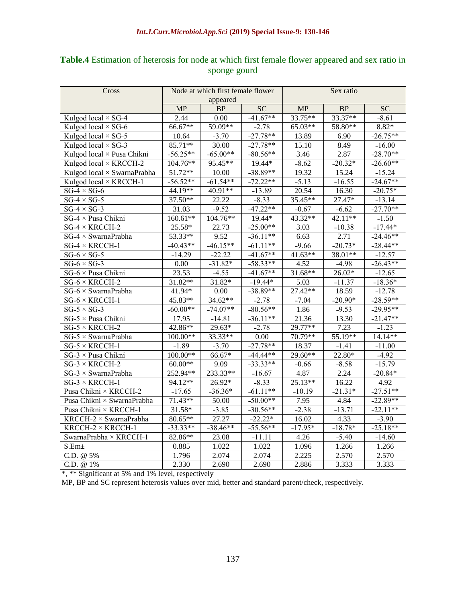| Table.4 Estimation of heterosis for node at which first female flower appeared and sex ratio in |  |
|-------------------------------------------------------------------------------------------------|--|
| sponge gourd                                                                                    |  |

| Cross                         |            | Node at which first female flower |                 | Sex ratio |           |            |
|-------------------------------|------------|-----------------------------------|-----------------|-----------|-----------|------------|
|                               | appeared   |                                   |                 |           |           |            |
|                               | <b>MP</b>  | BP                                | $\overline{SC}$ | MP        | BP        | <b>SC</b>  |
| Kulgod local × SG-4           | 2.44       | 0.00                              | $-41.67**$      | 33.75**   | 33.37**   | $-8.61$    |
| Kulgod local $\times$ SG-6    | 66.67**    | 59.09**                           | $-2.78$         | 65.03**   | 58.80**   | 8.82*      |
| Kulgod local $\times$ SG-5    | 10.64      | $-3.70$                           | $-27.78**$      | 13.89     | 6.90      | $-26.75**$ |
| Kulgod local $\times$ SG-3    | 85.71**    | 30.00                             | $-27.78**$      | 15.10     | 8.49      | $-16.00$   |
| Kulgod local × Pusa Chikni    | $-56.25**$ | $-65.00**$                        | $-80.56**$      | 3.46      | 2.87      | $-28.70**$ |
| Kulgod local × KRCCH-2        | 104.76**   | 95.45**                           | 19.44*          | $-8.62$   | $-20.32*$ | $-26.60**$ |
| Kulgod local × SwarnaPrabha   | 51.72**    | 10.00                             | $-38.89**$      | 19.32     | 15.24     | $-15.24$   |
| Kulgod local $\times$ KRCCH-1 | $-56.52**$ | $-61.54**$                        | $-72.22**$      | $-5.13$   | $-16.55$  | $-24.67**$ |
| $SG-4 \times SG-6$            | 44.19**    | 40.91**                           | $-13.89$        | 20.54     | 16.30     | $-20.75*$  |
| $SG-4 \times SG-5$            | 37.50**    | 22.22                             | $-8.33$         | 35.45**   | 27.47*    | $-13.14$   |
| $SG-4 \times SG-3$            | 31.03      | $-9.52$                           | $-47.22**$      | $-0.67$   | $-6.62$   | $-27.70**$ |
| SG-4 × Pusa Chikni            | $160.61**$ | 104.76**                          | 19.44*          | 43.32**   | 42.11**   | $-1.50$    |
| $SG-4 \times KRCCH-2$         | 25.58*     | 22.73                             | $-25.00**$      | 3.03      | $-10.38$  | $-17.44*$  |
| $SG-4 \times SwarnaPrabha$    | 53.33**    | 9.52                              | $-36.11**$      | 6.63      | 2.71      | $-24.46**$ |
| $SG-4 \times KRCCH-1$         | $-40.43**$ | $-46.15**$                        | $-61.11**$      | $-9.66$   | $-20.73*$ | $-28.44**$ |
| $SG-6 \times SG-5$            | -14.29     | $-22.22$                          | $-41.67**$      | 41.63**   | 38.01**   | $-12.57$   |
| $SG-6 \times SG-3$            | 0.00       | $-31.82*$                         | $-58.33**$      | 4.52      | $-4.98$   | $-26.43**$ |
| $SG-6 \times P$ usa Chikni    | 23.53      | $-4.55$                           | $-41.67**$      | 31.68**   | $26.02*$  | $-12.65$   |
| $SG-6 \times KRCCH-2$         | 31.82**    | 31.82*                            | $-19.44*$       | 5.03      | $-11.37$  | $-18.36*$  |
| $SG-6 \times SwarnaPrabha$    | 41.94*     | 0.00                              | $-38.89**$      | 27.42**   | 18.59     | $-12.78$   |
| $SG-6 \times KRCCH-1$         | 45.83**    | 34.62**                           | $-2.78$         | $-7.04$   | $-20.90*$ | $-28.59**$ |
| $SG-5 \times SG-3$            | $-60.00**$ | $-74.07**$                        | $-80.56**$      | 1.86      | $-9.53$   | $-29.95**$ |
| $SG-5 \times P$ usa Chikni    | 17.95      | $-14.81$                          | $-36.11**$      | 21.36     | 13.30     | $-21.47**$ |
| SG-5 $\times$ KRCCH-2         | 42.86**    | 29.63*                            | $-2.78$         | 29.77**   | 7.23      | $-1.23$    |
| $SG-5 \times SwarnaPrabha$    | 100.00**   | 33.33**                           | 0.00            | 70.79**   | 55.19**   | 14.14**    |
| SG-5 $\times$ KRCCH-1         | $-1.89$    | $-3.70$                           | $-27.78**$      | 18.37     | $-1.41$   | $-11.00$   |
| $SG-3 \times P$ usa Chikni    | 100.00**   | 66.67*                            | $-44.44**$      | 29.60**   | 22.80*    | $-4.92$    |
| $SG-3 \times KRCCH-2$         | $60.00**$  | 9.09                              | $-33.33**$      | $-0.66$   | $-8.58$   | $-15.79$   |
| $SG-3 \times SwarnaPrabha$    | 252.94**   | 233.33**                          | $-16.67$        | 4.87      | 2.24      | $-20.84*$  |
| $SG-3 \times KRCCH-1$         | 94.12**    | 26.92*                            | $-8.33$         | 25.13**   | 16.22     | 4.92       |
| Pusa Chikni × KRCCH-2         | $-17.65$   | $-36.36*$                         | $-61.11**$      | $-10.19$  | $-21.31*$ | $-27.51**$ |
| Pusa Chikni × SwarnaPrabha    | 71.43**    | 50.00                             | $-50.00**$      | 7.95      | 4.84      | $-22.89**$ |
| Pusa Chikni × KRCCH-1         | $31.58*$   | $-3.85$                           | $-30.56**$      | $-2.38$   | $-13.71$  | $-22.11**$ |
| $KRCCH-2 \times SwarnaPrabha$ | 80.65**    | 27.27                             | $-22.22*$       | 16.02     | 4.33      | $-3.90$    |
| KRCCH-2 × KRCCH-1             | $-33.33**$ | $-38.46**$                        | $-55.56**$      | $-17.95*$ | $-18.78*$ | $-25.18**$ |
| SwarnaPrabha × KRCCH-1        | 82.86**    | 23.08                             | $-11.11$        | 4.26      | $-5.40$   | $-14.60$   |
| S.Em <sub>±</sub>             | 0.885      | 1.022                             | 1.022           | 1.096     | 1.266     | 1.266      |
| C.D. @ 5%                     | 1.796      | 2.074                             | 2.074           | 2.225     | 2.570     | 2.570      |
| C.D. @ 1%                     | 2.330      | 2.690                             | 2.690           | 2.886     | 3.333     | 3.333      |

\*, \*\* Significant at 5% and 1% level, respectively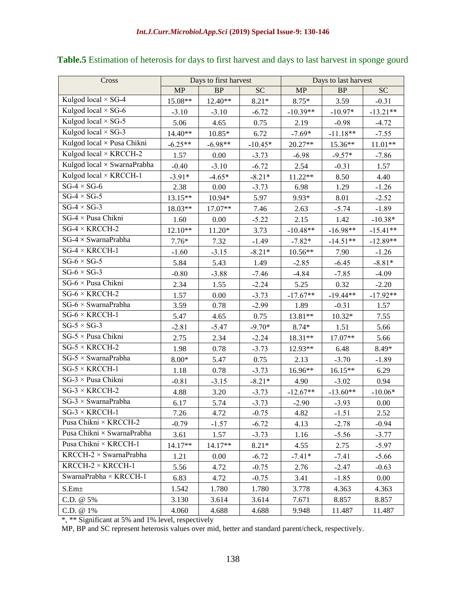| Cross                         |           | Days to first harvest |           | Days to last harvest |            |            |
|-------------------------------|-----------|-----------------------|-----------|----------------------|------------|------------|
|                               | <b>MP</b> | BP                    | <b>SC</b> | MP                   | $\rm BP$   | <b>SC</b>  |
| Kulgod local $\times$ SG-4    | 15.08**   | 12.40**               | $8.21*$   | $8.75*$              | 3.59       | $-0.31$    |
| Kulgod local $\times$ SG-6    | $-3.10$   | $-3.10$               | $-6.72$   | $-10.39**$           | $-10.97*$  | $-13.21**$ |
| Kulgod local $\times$ SG-5    | 5.06      | 4.65                  | 0.75      | 2.19                 | $-0.98$    | $-4.72$    |
| Kulgod local $\times$ SG-3    | $14.40**$ | $10.85*$              | 6.72      | $-7.69*$             | $-11.18**$ | $-7.55$    |
| Kulgod local × Pusa Chikni    | $-6.25**$ | $-6.98**$             | $-10.45*$ | 20.27**              | 15.36**    | $11.01**$  |
| Kulgod local × KRCCH-2        | 1.57      | 0.00                  | $-3.73$   | $-6.98$              | $-9.57*$   | $-7.86$    |
| Kulgod local × SwarnaPrabha   | $-0.40$   | $-3.10$               | $-6.72$   | 2.54                 | $-0.31$    | 1.57       |
| Kulgod local × KRCCH-1        | $-3.91*$  | $-4.65*$              | $-8.21*$  | 11.22**              | 8.50       | 4.40       |
| $SG-4 \times SG-6$            | 2.38      | 0.00                  | $-3.73$   | 6.98                 | 1.29       | $-1.26$    |
| $SG-4 \times SG-5$            | 13.15**   | 10.94*                | 5.97      | 9.93*                | 8.01       | $-2.52$    |
| $SG-4 \times SG-3$            | 18.03**   | 17.07**               | 7.46      | 2.63                 | $-5.74$    | $-1.89$    |
| $SG-4 \times P$ usa Chikni    | 1.60      | 0.00                  | $-5.22$   | 2.15                 | 1.42       | $-10.38*$  |
| $SG-4 \times KRCCH-2$         | 12.10**   | 11.20*                | 3.73      | $-10.48**$           | $-16.98**$ | $-15.41**$ |
| $SG-4 \times SwarnaPrabha$    | $7.76*$   | 7.32                  | $-1.49$   | $-7.82*$             | $-14.51**$ | $-12.89**$ |
| $SG-4 \times KRCCH-1$         | $-1.60$   | $-3.15$               | $-8.21*$  | $10.56**$            | 7.90       | $-1.26$    |
| $SG-6 \times SG-5$            | 5.84      | 5.43                  | 1.49      | $-2.85$              | $-6.45$    | $-8.81*$   |
| $SG-6 \times SG-3$            | $-0.80$   | $-3.88$               | $-7.46$   | $-4.84$              | $-7.85$    | $-4.09$    |
| SG-6 × Pusa Chikni            | 2.34      | 1.55                  | $-2.24$   | 5.25                 | 0.32       | $-2.20$    |
| $SG-6 \times KRCCH-2$         | 1.57      | 0.00                  | $-3.73$   | $-17.67**$           | $-19.44**$ | $-17.92**$ |
| $SG-6 \times SwarnaPrabha$    | 3.59      | 0.78                  | $-2.99$   | 1.89                 | $-0.31$    | 1.57       |
| $SG-6 \times KRCCH-1$         | 5.47      | 4.65                  | 0.75      | $13.81**$            | $10.32*$   | 7.55       |
| $SG-5 \times SG-3$            | $-2.81$   | $-5.47$               | $-9.70*$  | $8.74*$              | 1.51       | 5.66       |
| $SG-5 \times P$ usa Chikni    | 2.75      | 2.34                  | $-2.24$   | 18.31**              | 17.07**    | 5.66       |
| $SG-5 \times KRCCH-2$         | 1.98      | 0.78                  | $-3.73$   | 12.93**              | 6.48       | 8.49*      |
| $SG-5 \times SwarnaPrabha$    | $8.00*$   | 5.47                  | 0.75      | 2.13                 | $-3.70$    | $-1.89$    |
| $SG-5 \times KRCCH-1$         | 1.18      | 0.78                  | $-3.73$   | 16.96**              | $16.15**$  | 6.29       |
| $SG-3 \times P$ usa Chikni    | $-0.81$   | $-3.15$               | $-8.21*$  | 4.90                 | $-3.02$    | 0.94       |
| $SG-3 \times KRCCH-2$         | 4.88      | 3.20                  | $-3.73$   | $-12.67**$           | $-13.60**$ | $-10.06*$  |
| $SG-3 \times SwarnaPrabha$    | 6.17      | 5.74                  | $-3.73$   | $-2.90$              | $-3.93$    | 0.00       |
| $SG-3 \times KRCCH-1$         | 7.26      | 4.72                  | $-0.75$   | 4.82                 | $-1.51$    | 2.52       |
| Pusa Chikni × KRCCH-2         | $-0.79$   | $-1.57$               | $-6.72$   | 4.13                 | $-2.78$    | $-0.94$    |
| Pusa Chikni × SwarnaPrabha    | 3.61      | 1.57                  | $-3.73$   | 1.16                 | $-5.56$    | $-3.77$    |
| Pusa Chikni × KRCCH-1         | 14.17**   | 14.17**               | $8.21*$   | 4.55                 | 2.75       | $-5.97$    |
| $KRCCH-2 \times SwarnaPrabha$ | 1.21      | 0.00                  | $-6.72$   | $-7.41*$             | $-7.41$    | $-5.66$    |
| $KRCCH-2 \times KRCCH-1$      | 5.56      | 4.72                  | $-0.75$   | 2.76                 | $-2.47$    | $-0.63$    |
| SwarnaPrabha × KRCCH-1        | 6.83      | 4.72                  | $-0.75$   | 3.41                 | $-1.85$    | 0.00       |
| $S.Em\pm$                     | 1.542     | 1.780                 | 1.780     | 3.778                | 4.363      | 4.363      |
| C.D. $@5\%$                   | 3.130     | 3.614                 | 3.614     | 7.671                | 8.857      | 8.857      |
| C.D. @ 1%                     | 4.060     | 4.688                 | 4.688     | 9.948                | 11.487     | 11.487     |

## **Table.5** Estimation of heterosis for days to first harvest and days to last harvest in sponge gourd

\*, \*\* Significant at 5% and 1% level, respectively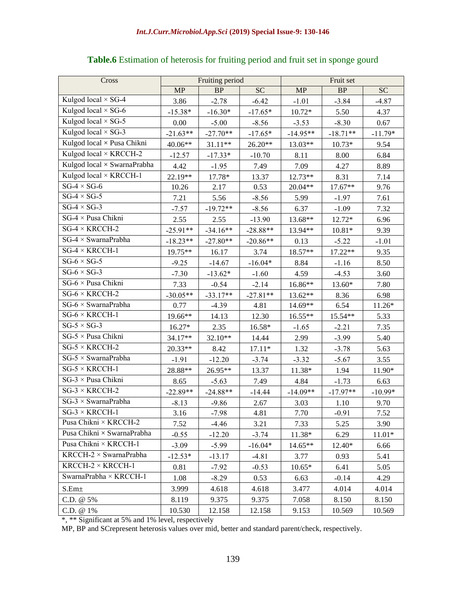| Cross                             | Fruiting period |            | Fruit set  |            |            |           |
|-----------------------------------|-----------------|------------|------------|------------|------------|-----------|
|                                   | MP              | <b>BP</b>  | <b>SC</b>  | MP         | BP         | <b>SC</b> |
| Kulgod local $\times$ SG-4        | 3.86            | $-2.78$    | $-6.42$    | $-1.01$    | $-3.84$    | $-4.87$   |
| Kulgod local $\times$ SG-6        | $-15.38*$       | $-16.30*$  | $-17.65*$  | $10.72*$   | 5.50       | 4.37      |
| Kulgod local $\times$ SG-5        | 0.00            | $-5.00$    | $-8.56$    | $-3.53$    | $-8.30$    | 0.67      |
| Kulgod local $\times$ SG-3        | $-21.63**$      | $-27.70**$ | $-17.65*$  | $-14.95**$ | $-18.71**$ | $-11.79*$ |
| Kulgod local × Pusa Chikni        | 40.06**         | $31.11**$  | $26.20**$  | 13.03**    | $10.73*$   | 9.54      |
| Kulgod local × KRCCH-2            | $-12.57$        | $-17.33*$  | $-10.70$   | 8.11       | 8.00       | 6.84      |
| Kulgod local × SwarnaPrabha       | 4.42            | $-1.95$    | 7.49       | 7.09       | 4.27       | 8.89      |
| Kulgod local × KRCCH-1            | 22.19**         | 17.78*     | 13.37      | 12.73**    | 8.31       | 7.14      |
| $SG-4 \times SG-6$                | 10.26           | 2.17       | 0.53       | 20.04**    | 17.67**    | 9.76      |
| $SG-4 \times SG-5$                | 7.21            | 5.56       | $-8.56$    | 5.99       | $-1.97$    | 7.61      |
| $SG-4 \times SG-3$                | $-7.57$         | $-19.72**$ | $-8.56$    | 6.37       | $-1.09$    | 7.32      |
| $SG-4 \times P$ usa Chikni        | 2.55            | 2.55       | $-13.90$   | 13.68**    | 12.72*     | 6.96      |
| $SG-4 \times KRCCH-2$             | $-25.91**$      | $-34.16**$ | $-28.88**$ | 13.94**    | $10.81*$   | 9.39      |
| $SG-4 \times SwarnaPrabha$        | $-18.23**$      | $-27.80**$ | $-20.86**$ | 0.13       | $-5.22$    | $-1.01$   |
| $SG-4 \times KRCCH-1$             | 19.75**         | 16.17      | 3.74       | 18.57**    | $17.22**$  | 9.35      |
| $SG-6 \times SG-5$                | $-9.25$         | $-14.67$   | $-16.04*$  | 8.84       | $-1.16$    | 8.50      |
| $SG-6 \times SG-3$                | $-7.30$         | $-13.62*$  | $-1.60$    | 4.59       | $-4.53$    | 3.60      |
| SG-6 × Pusa Chikni                | 7.33            | $-0.54$    | $-2.14$    | 16.86**    | 13.60*     | 7.80      |
| $SG-6 \times KRCCH-2$             | $-30.05**$      | $-33.17**$ | $-27.81**$ | 13.62**    | 8.36       | 6.98      |
| $SG-6 \times SwarnaPrabha$        | 0.77            | $-4.39$    | 4.81       | 14.69**    | 6.54       | 11.26*    |
| $SG-6 \times KRCCH-1$             | 19.66**         | 14.13      | 12.30      | 16.55**    | 15.54**    | 5.33      |
| $SG-5 \times SG-3$                | 16.27*          | 2.35       | 16.58*     | $-1.65$    | $-2.21$    | 7.35      |
| $SG-5 \times P$ usa Chikni        | 34.17**         | 32.10**    | 14.44      | 2.99       | $-3.99$    | 5.40      |
| $SG-5 \times KRCCH-2$             | 20.33**         | 8.42       | $17.11*$   | 1.32       | $-3.78$    | 5.63      |
| $SG-5 \times SwarnaPrabha$        | $-1.91$         | $-12.20$   | $-3.74$    | $-3.32$    | $-5.67$    | 3.55      |
| $SG-5 \times KRCCH-1$             | 28.88**         | 26.95**    | 13.37      | 11.38*     | 1.94       | 11.90*    |
| SG-3 × Pusa Chikni                | 8.65            | $-5.63$    | 7.49       | 4.84       | $-1.73$    | 6.63      |
| $SG-3 \times KRCCH-2$             | $-22.89**$      | $-24.88**$ | $-14.44$   | $-14.09**$ | $-17.97**$ | $-10.99*$ |
| $SG-3 \times SwarnaPrabha$        | $-8.13$         | $-9.86$    | 2.67       | 3.03       | 1.10       | 9.70      |
| $SG-3 \times KRCCH-1$             | 3.16            | $-7.98$    | 4.81       | 7.70       | $-0.91$    | 7.52      |
| Pusa Chikni × KRCCH-2             | 7.52            | $-4.46$    | 3.21       | 7.33       | 5.25       | 3.90      |
| Pusa Chikni $\times$ SwarnaPrabha | $-0.55$         | $-12.20$   | $-3.74$    | 11.38*     | 6.29       | $11.01*$  |
| Pusa Chikni × KRCCH-1             | $-3.09$         | $-5.99$    | $-16.04*$  | 14.65**    | 12.40*     | 6.66      |
| $KRCCH-2 \times SwarnaPrabha$     | $-12.53*$       | $-13.17$   | $-4.81$    | 3.77       | 0.93       | 5.41      |
| KRCCH- $2 \times$ KRCCH-1         | 0.81            | $-7.92$    | $-0.53$    | $10.65*$   | 6.41       | 5.05      |
| SwarnaPrabha × KRCCH-1            | 1.08            | $-8.29$    | 0.53       | 6.63       | $-0.14$    | 4.29      |
| S.Em±                             | 3.999           | 4.618      | 4.618      | 3.477      | 4.014      | 4.014     |
| C.D. @ 5%                         | 8.119           | 9.375      | 9.375      | 7.058      | 8.150      | 8.150     |
| C.D. @ 1%                         | 10.530          | 12.158     | 12.158     | 9.153      | 10.569     | 10.569    |

## **Table.6** Estimation of heterosis for fruiting period and fruit set in sponge gourd

\*, \*\* Significant at 5% and 1% level, respectively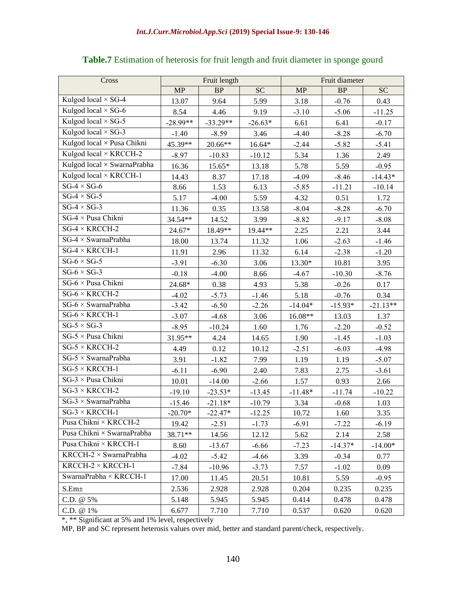| Cross                         |            | Fruit length |           |           | Fruit diameter |            |
|-------------------------------|------------|--------------|-----------|-----------|----------------|------------|
|                               | MP         | <b>BP</b>    | <b>SC</b> | <b>MP</b> | <b>BP</b>      | <b>SC</b>  |
| Kulgod local × SG-4           | 13.07      | 9.64         | 5.99      | 3.18      | $-0.76$        | 0.43       |
| Kulgod local $\times$ SG-6    | 8.54       | 4.46         | 9.19      | $-3.10$   | $-5.06$        | $-11.25$   |
| Kulgod local $\times$ SG-5    | $-28.99**$ | $-33.29**$   | $-26.63*$ | 6.61      | 6.41           | $-0.17$    |
| Kulgod local $\times$ SG-3    | $-1.40$    | $-8.59$      | 3.46      | $-4.40$   | $-8.28$        | $-6.70$    |
| Kulgod local × Pusa Chikni    | 45.39**    | 20.66**      | 16.64*    | $-2.44$   | $-5.82$        | $-5.41$    |
| Kulgod local × KRCCH-2        | $-8.97$    | $-10.83$     | $-10.12$  | 5.34      | 1.36           | 2.49       |
| Kulgod local × SwarnaPrabha   | 16.36      | 15.65*       | 13.18     | 5.78      | 5.59           | $-0.95$    |
| Kulgod local × KRCCH-1        | 14.43      | 8.37         | 17.18     | $-4.09$   | $-8.46$        | $-14.43*$  |
| $SG-4 \times SG-6$            | 8.66       | 1.53         | 6.13      | $-5.85$   | $-11.21$       | $-10.14$   |
| $SG-4 \times SG-5$            | 5.17       | $-4.00$      | 5.59      | 4.32      | 0.51           | 1.72       |
| $SG-4 \times SG-3$            | 11.36      | 0.35         | 13.58     | $-8.04$   | $-8.28$        | $-6.70$    |
| $SG-4 \times P$ usa Chikni    | 34.54**    | 14.52        | 3.99      | $-8.82$   | $-9.17$        | $-8.08$    |
| $SG-4 \times KRCCH-2$         | $24.67*$   | 18.49**      | 19.44**   | 2.25      | 2.21           | 3.44       |
| $SG-4 \times SwarnaPrabha$    | 18.00      | 13.74        | 11.32     | 1.06      | $-2.63$        | $-1.46$    |
| $SG-4 \times KRCCH-1$         | 11.91      | 2.96         | 11.32     | 6.14      | $-2.38$        | $-1.20$    |
| $SG-6 \times SG-5$            | $-3.91$    | $-6.30$      | 3.06      | 13.30*    | 10.81          | 3.95       |
| $SG-6 \times SG-3$            | $-0.18$    | $-4.00$      | 8.66      | $-4.67$   | $-10.30$       | $-8.76$    |
| SG-6 × Pusa Chikni            | 24.68*     | 0.38         | 4.93      | 5.38      | $-0.26$        | 0.17       |
| $SG-6 \times KRCCH-2$         | $-4.02$    | $-5.73$      | $-1.46$   | 5.18      | $-0.76$        | 0.34       |
| $SG-6 \times SwarnaPrabha$    | $-3.42$    | $-6.50$      | $-2.26$   | $-14.04*$ | $-15.93*$      | $-21.13**$ |
| $SG-6 \times KRCCH-1$         | $-3.07$    | $-4.68$      | 3.06      | 16.08**   | 13.03          | 1.37       |
| $SG-5 \times SG-3$            | $-8.95$    | $-10.24$     | 1.60      | 1.76      | $-2.20$        | $-0.52$    |
| $SG-5 \times P$ usa Chikni    | 31.95**    | 4.24         | 14.65     | 1.90      | $-1.45$        | $-1.03$    |
| $SG-5 \times KRCCH-2$         | 4.49       | 0.12         | 10.12     | $-2.51$   | $-6.03$        | $-4.98$    |
| $SG-5 \times SwarnaPrabha$    | 3.91       | $-1.82$      | 7.99      | 1.19      | 1.19           | $-5.07$    |
| $SG-5 \times KRCCH-1$         | $-6.11$    | $-6.90$      | 2.40      | 7.83      | 2.75           | $-3.61$    |
| SG-3 × Pusa Chikni            | 10.01      | $-14.00$     | $-2.66$   | 1.57      | 0.93           | 2.66       |
| $SG-3 \times KRCCH-2$         | $-19.10$   | $-23.53*$    | $-13.45$  | $-11.48*$ | $-11.74$       | $-10.22$   |
| $SG-3 \times SwarnaPrabha$    | $-15.46$   | $-21.18*$    | $-10.79$  | 3.34      | $-0.68$        | 1.03       |
| $SG-3 \times KRCCH-1$         | $-20.70*$  | $-22.47*$    | $-12.25$  | 10.72     | 1.60           | 3.35       |
| Pusa Chikni × KRCCH-2         | 19.42      | $-2.51$      | $-1.73$   | $-6.91$   | $-7.22$        | $-6.19$    |
| Pusa Chikni × SwarnaPrabha    | 38.71**    | 14.56        | 12.12     | 5.62      | 2.14           | 2.58       |
| Pusa Chikni × KRCCH-1         | 8.60       | $-13.67$     | $-6.66$   | $-7.23$   | $-14.37*$      | $-14.00*$  |
| $KRCCH-2 \times SwarnaPrabha$ | $-4.02$    | $-5.42$      | $-4.66$   | 3.39      | $-0.34$        | 0.77       |
| KRCCH- $2 \times$ KRCCH-1     | $-7.84$    | $-10.96$     | $-3.73$   | 7.57      | $-1.02$        | 0.09       |
| SwarnaPrabha × KRCCH-1        | 17.00      | 11.45        | 20.51     | 10.81     | 5.59           | $-0.95$    |
| $S.Em\pm$                     | 2.536      | 2.928        | 2.928     | 0.204     | 0.235          | 0.235      |
| C.D. @ 5%                     | 5.148      | 5.945        | 5.945     | 0.414     | 0.478          | 0.478      |
| C.D. @ 1%                     | 6.677      | 7.710        | 7.710     | 0.537     | 0.620          | 0.620      |

#### **Table.7** Estimation of heterosis for fruit length and fruit diameter in sponge gourd

\*, \*\* Significant at 5% and 1% level, respectively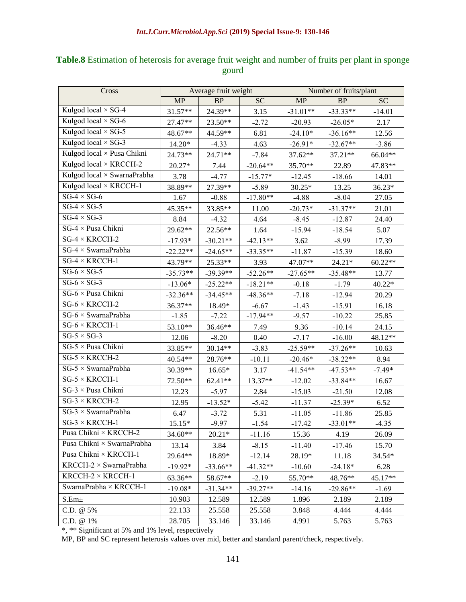| Cross                                 | Average fruit weight |            | Number of fruits/plant |            |            |           |
|---------------------------------------|----------------------|------------|------------------------|------------|------------|-----------|
|                                       | MP                   | <b>BP</b>  | <b>SC</b>              | <b>MP</b>  | $\rm BP$   | <b>SC</b> |
| Kulgod local $\times$ SG-4            | 31.57**              | 24.39**    | 3.15                   | $-31.01**$ | $-33.33**$ | $-14.01$  |
| Kulgod local $\times$ SG-6            | 27.47**              | 23.50**    | $-2.72$                | $-20.93$   | $-26.05*$  | 2.17      |
| Kulgod local $\times$ SG-5            | 48.67**              | 44.59**    | 6.81                   | $-24.10*$  | $-36.16**$ | 12.56     |
| Kulgod local $\times$ SG-3            | 14.20*               | $-4.33$    | 4.63                   | $-26.91*$  | $-32.67**$ | $-3.86$   |
| Kulgod local × Pusa Chikni            | 24.73**              | 24.71**    | $-7.84$                | 37.62**    | 37.21**    | 66.04**   |
| Kulgod local × KRCCH-2                | 20.27*               | 7.44       | $-20.64**$             | 35.70**    | 22.89      | 47.83**   |
| Kulgod local × SwarnaPrabha           | 3.78                 | $-4.77$    | $-15.77*$              | $-12.45$   | $-18.66$   | 14.01     |
| Kulgod local × KRCCH-1                | 38.89**              | 27.39**    | $-5.89$                | $30.25*$   | 13.25      | 36.23*    |
| $SG-4 \times SG-6$                    | 1.67                 | $-0.88$    | $-17.80**$             | $-4.88$    | $-8.04$    | 27.05     |
| $SG-4 \times SG-5$                    | 45.35**              | 33.85**    | 11.00                  | $-20.73*$  | $-31.37**$ | 21.01     |
| $SG-4 \times SG-3$                    | 8.84                 | $-4.32$    | 4.64                   | $-8.45$    | $-12.87$   | 24.40     |
| $\overline{SG-4 \times P}$ usa Chikni | 29.62**              | 22.56**    | 1.64                   | $-15.94$   | $-18.54$   | 5.07      |
| $SG-4 \times KRCCH-2$                 | $-17.93*$            | $-30.21**$ | $-42.13**$             | 3.62       | $-8.99$    | 17.39     |
| $SG-4 \times SwarnaPrabha$            | $-22.22**$           | $-24.65**$ | $-33.35**$             | $-11.87$   | $-15.39$   | 18.60     |
| $SG-4 \times KRCCH-1$                 | 43.79**              | 25.33**    | 3.93                   | 47.07**    | $24.21*$   | $60.22**$ |
| $SG-6 \times SG-5$                    | $-35.73**$           | $-39.39**$ | $-52.26**$             | $-27.65**$ | $-35.48**$ | 13.77     |
| $SG-6 \times SG-3$                    | $-13.06*$            | $-25.22**$ | $-18.21**$             | $-0.18$    | $-1.79$    | 40.22*    |
| $SG-6 \times P$ usa Chikni            | $-32.36**$           | $-34.45**$ | $-48.36**$             | $-7.18$    | $-12.94$   | 20.29     |
| $SG-6 \times KRCCH-2$                 | 36.37**              | 18.49*     | $-6.67$                | $-1.43$    | $-15.91$   | 16.18     |
| $SG-6 \times SwarnaPrabha$            | $-1.85$              | $-7.22$    | $-17.94**$             | $-9.57$    | $-10.22$   | 25.85     |
| $SG-6 \times KRCCH-1$                 | 53.10**              | 36.46**    | 7.49                   | 9.36       | $-10.14$   | 24.15     |
| $SG-5 \times SG-3$                    | 12.06                | $-8.20$    | 0.40                   | $-7.17$    | $-16.00$   | 48.12**   |
| $\overline{SG}$ -5 × Pusa Chikni      | 33.85**              | 30.14**    | $-3.83$                | $-25.59**$ | $-37.26**$ | 10.63     |
| $SG-5 \times KRCCH-2$                 | 40.54**              | $28.76**$  | $-10.11$               | $-20.46*$  | $-38.22**$ | 8.94      |
| $SG-5 \times SwarnaPrabha$            | 30.39**              | $16.65*$   | 3.17                   | $-41.54**$ | $-47.53**$ | $-7.49*$  |
| $SG-5 \times KRCCH-1$                 | 72.50**              | 62.41**    | 13.37**                | $-12.02$   | $-33.84**$ | 16.67     |
| $SG-3 \times P$ usa Chikni            | 12.23                | $-5.97$    | 2.84                   | $-15.03$   | $-21.50$   | 12.08     |
| $SG-3 \times KRCCH-2$                 | 12.95                | $-13.52*$  | $-5.42$                | $-11.37$   | $-25.39*$  | 6.52      |
| $SG-3 \times SwarnaPrabha$            | 6.47                 | $-3.72$    | 5.31                   | $-11.05$   | $-11.86$   | 25.85     |
| $SG-3 \times KRCCH-1$                 | $15.15*$             | $-9.97$    | $-1.54$                | $-17.42$   | $-33.01**$ | $-4.35$   |
| Pusa Chikni × KRCCH-2                 | 34.60**              | $20.21*$   | $-11.16$               | 15.36      | 4.19       | 26.09     |
| Pusa Chikni × SwarnaPrabha            | 13.14                | 3.84       | $-8.15$                | $-11.40$   | $-17.46$   | 15.70     |
| Pusa Chikni × KRCCH-1                 | 29.64**              | 18.89*     | $-12.14$               | 28.19*     | 11.18      | 34.54*    |
| $KRCCH-2 \times SwarnaPrabha$         | $-19.92*$            | $-33.66**$ | $-41.32**$             | $-10.60$   | $-24.18*$  | 6.28      |
| KRCCH- $2 \times$ KRCCH-1             | 63.36**              | 58.67**    | $-2.19$                | 55.70**    | 48.76**    | 45.17**   |
| SwarnaPrabha × KRCCH-1                | $-19.08*$            | $-31.34**$ | $-39.27**$             | $-14.16$   | $-29.86**$ | $-1.69$   |
| S.Em <sub>±</sub>                     | 10.903               | 12.589     | 12.589                 | 1.896      | 2.189      | 2.189     |
| C.D. @ 5%                             | 22.133               | 25.558     | 25.558                 | 3.848      | 4.444      | 4.444     |
| C.D. @ 1%                             | 28.705               | 33.146     | 33.146                 | 4.991      | 5.763      | 5.763     |

## **Table.8** Estimation of heterosis for average fruit weight and number of fruits per plant in sponge gourd

\*, \*\* Significant at 5% and 1% level, respectively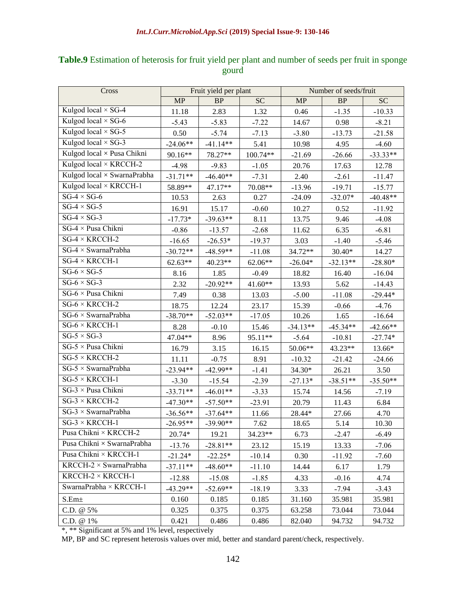| Cross                                    | Fruit yield per plant |            |           | Number of seeds/fruit |            |            |  |
|------------------------------------------|-----------------------|------------|-----------|-----------------------|------------|------------|--|
|                                          | <b>MP</b>             | <b>BP</b>  | <b>SC</b> | <b>MP</b>             | BP         | <b>SC</b>  |  |
| Kulgod local $\times$ SG-4               | 11.18                 | 2.83       | 1.32      | 0.46                  | $-1.35$    | $-10.33$   |  |
| Kulgod local $\times$ SG-6               | $-5.43$               | $-5.83$    | $-7.22$   | 14.67                 | 0.98       | $-8.21$    |  |
| Kulgod local $\times$ SG-5               | 0.50                  | $-5.74$    | $-7.13$   | $-3.80$               | $-13.73$   | $-21.58$   |  |
| Kulgod local $\times$ SG-3               | $-24.06**$            | $-41.14**$ | 5.41      | 10.98                 | 4.95       | $-4.60$    |  |
| $\overline{Kul}$ god local × Pusa Chikni | 90.16**               | 78.27**    | 100.74**  | $-21.69$              | $-26.66$   | $-33.33**$ |  |
| Kulgod local × KRCCH-2                   | $-4.98$               | $-9.83$    | $-1.05$   | 20.76                 | 17.63      | 12.78      |  |
| Kulgod $local \times SwarnaPrahba$       | $-31.71**$            | $-46.40**$ | $-7.31$   | 2.40                  | $-2.61$    | $-11.47$   |  |
| Kulgod local × KRCCH-1                   | 58.89**               | 47.17**    | 70.08**   | $-13.96$              | $-19.71$   | $-15.77$   |  |
| $SG-4 \times SG-6$                       | 10.53                 | 2.63       | 0.27      | $-24.09$              | $-32.07*$  | $-40.48**$ |  |
| $SG-4 \times SG-5$                       | 16.91                 | 15.17      | $-0.60$   | 10.27                 | 0.52       | $-11.92$   |  |
| $SG-4 \times SG-3$                       | $-17.73*$             | $-39.63**$ | 8.11      | 13.75                 | 9.46       | $-4.08$    |  |
| $SG-4 \times P$ usa Chikni               | $-0.86$               | $-13.57$   | $-2.68$   | 11.62                 | 6.35       | $-6.81$    |  |
| $SG-4 \times KRCCH-2$                    | $-16.65$              | $-26.53*$  | $-19.37$  | 3.03                  | $-1.40$    | $-5.46$    |  |
| $SG-4 \times SwarnaPrabha$               | $-30.72**$            | $-48.59**$ | $-11.08$  | 34.72**               | $30.40*$   | 14.27      |  |
| $SG-4 \times KRCCH-1$                    | 62.63**               | 40.23**    | 62.06**   | $-26.04*$             | $-32.13**$ | $-28.80*$  |  |
| $SG-6 \times SG-5$                       | 8.16                  | 1.85       | $-0.49$   | 18.82                 | 16.40      | $-16.04$   |  |
| $SG-6 \times SG-3$                       | 2.32                  | $-20.92**$ | $41.60**$ | 13.93                 | 5.62       | $-14.43$   |  |
| $SG-6 \times P$ usa Chikni               | 7.49                  | 0.38       | 13.03     | $-5.00$               | $-11.08$   | $-29.44*$  |  |
| $SG-6 \times KRCCH-2$                    | 18.75                 | 12.24      | 23.17     | 15.39                 | $-0.66$    | $-4.76$    |  |
| $SG-6 \times SwarnaPrabha$               | $-38.70**$            | $-52.03**$ | $-17.05$  | 10.26                 | 1.65       | $-16.64$   |  |
| $SG-6 \times KRCCH-1$                    | 8.28                  | $-0.10$    | 15.46     | $-34.13**$            | $-45.34**$ | $-42.66**$ |  |
| $SG-5 \times SG-3$                       | 47.04**               | 8.96       | 95.11**   | $-5.64$               | $-10.81$   | $-27.74*$  |  |
| SG-5 × Pusa Chikni                       | 16.79                 | 3.15       | 16.15     | 50.06**               | 43.23**    | 13.66*     |  |
| $SG-5 \times KRCCH-2$                    | 11.11                 | $-0.75$    | 8.91      | $-10.32$              | $-21.42$   | $-24.66$   |  |
| $SG-5 \times SwarnaPrabha$               | $-23.94**$            | $-42.99**$ | $-1.41$   | 34.30*                | 26.21      | 3.50       |  |
| $SG-5 \times KRCCH-1$                    | $-3.30$               | $-15.54$   | $-2.39$   | $-27.13*$             | $-38.51**$ | $-35.50**$ |  |
| $SG-3 \times P$ usa Chikni               | $-33.71**$            | $-46.01**$ | $-3.33$   | 15.74                 | 14.56      | $-7.19$    |  |
| $SG-3 \times KRCCH-2$                    | $-47.30**$            | $-57.50**$ | $-23.91$  | 20.79                 | 11.43      | 6.84       |  |
| $SG-3 \times SwarnaPrabha$               | $-36.56**$            | $-37.64**$ | 11.66     | 28.44*                | 27.66      | 4.70       |  |
| $SG-3 \times KRCCH-1$                    | $-26.95**$            | $-39.90**$ | 7.62      | 18.65                 | 5.14       | 10.30      |  |
| Pusa Chikni × KRCCH-2                    | 20.74*                | 19.21      | 34.23**   | 6.73                  | $-2.47$    | $-6.49$    |  |
| Pusa Chikni × SwarnaPrabha               | $-13.76$              | $-28.81**$ | 23.12     | 15.19                 | 13.33      | $-7.06$    |  |
| Pusa Chikni × KRCCH-1                    | $-21.24*$             | $-22.25*$  | $-10.14$  | 0.30                  | $-11.92$   | $-7.60$    |  |
| $KRCCH-2 \times SwarnaPrabha$            | $-37.11**$            | $-48.60**$ | $-11.10$  | 14.44                 | 6.17       | 1.79       |  |
| KRCCH- $2 \times$ KRCCH-1                | $-12.88$              | $-15.08$   | $-1.85$   | 4.33                  | $-0.16$    | 4.74       |  |
| SwarnaPrabha × KRCCH-1                   | $-43.29**$            | $-52.69**$ | $-18.19$  | 3.33                  | $-7.94$    | $-3.43$    |  |
| $\text{S.Em}\pm$                         | 0.160                 | 0.185      | 0.185     | 31.160                | 35.981     | 35.981     |  |
| C.D. @ 5%                                | 0.325                 | 0.375      | 0.375     | 63.258                | 73.044     | 73.044     |  |
| C.D. @ 1%                                | 0.421                 | 0.486      | 0.486     | 82.040                | 94.732     | 94.732     |  |

### **Table.9** Estimation of heterosis for fruit yield per plant and number of seeds per fruit in sponge gourd

\*, \*\* Significant at 5% and 1% level, respectively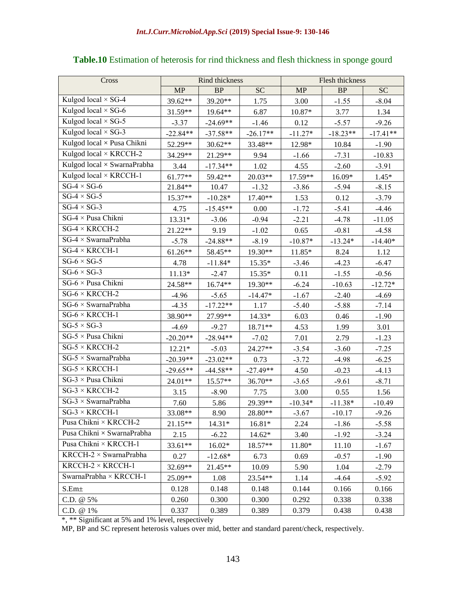| Cross                                    | Rind thickness |            |            | Flesh thickness |            |            |
|------------------------------------------|----------------|------------|------------|-----------------|------------|------------|
|                                          | MP             | BP         | <b>SC</b>  | MP              | BP         | <b>SC</b>  |
| Kulgod local $\times$ SG-4               | 39.62**        | 39.20**    | 1.75       | 3.00            | $-1.55$    | $-8.04$    |
| Kulgod local $\times$ SG-6               | 31.59**        | 19.64**    | 6.87       | $10.87*$        | 3.77       | 1.34       |
| Kulgod local $\times$ SG-5               | $-3.37$        | $-24.69**$ | $-1.46$    | 0.12            | $-5.57$    | $-9.26$    |
| Kulgod local $\times$ SG-3               | $-22.84**$     | $-37.58**$ | $-26.17**$ | $-11.27*$       | $-18.23**$ | $-17.41**$ |
| $\overline{Kul}$ god local × Pusa Chikni | 52.29**        | $30.62**$  | 33.48**    | 12.98*          | 10.84      | $-1.90$    |
| Kulgod local × KRCCH-2                   | 34.29**        | 21.29**    | 9.94       | $-1.66$         | $-7.31$    | $-10.83$   |
| Kulgod local × SwarnaPrabha              | 3.44           | $-17.34**$ | 1.02       | 4.55            | $-2.60$    | $-3.91$    |
| Kulgod local × KRCCH-1                   | 61.77**        | 59.42**    | $20.03**$  | 17.59**         | 16.09*     | $1.45*$    |
| $SG-4 \times SG-6$                       | 21.84**        | 10.47      | $-1.32$    | $-3.86$         | $-5.94$    | $-8.15$    |
| $SG-4 \times SG-5$                       | 15.37**        | $-10.28*$  | 17.40**    | 1.53            | 0.12       | $-3.79$    |
| $SG-4 \times SG-3$                       | 4.75           | $-15.45**$ | 0.00       | $-1.72$         | $-5.41$    | $-4.46$    |
| $SG-4 \times P$ usa Chikni               | $13.31*$       | $-3.06$    | $-0.94$    | $-2.21$         | $-4.78$    | $-11.05$   |
| $SG-4 \times KRCCH-2$                    | 21.22**        | 9.19       | $-1.02$    | 0.65            | $-0.81$    | $-4.58$    |
| $SG-4 \times SwarnaPrabha$               | $-5.78$        | $-24.88**$ | $-8.19$    | $-10.87*$       | $-13.24*$  | $-14.40*$  |
| $SG-4 \times KRCCH-1$                    | 61.26**        | 58.45**    | 19.30**    | $11.85*$        | 8.24       | 1.12       |
| $SG-6 \times SG-5$                       | 4.78           | $-11.84*$  | $15.35*$   | $-3.46$         | $-4.23$    | $-6.47$    |
| $SG-6 \times SG-3$                       | $11.13*$       | $-2.47$    | $15.35*$   | 0.11            | $-1.55$    | $-0.56$    |
| SG-6 × Pusa Chikni                       | 24.58**        | 16.74**    | 19.30**    | $-6.24$         | $-10.63$   | $-12.72*$  |
| $SG-6 \times KRCCH-2$                    | $-4.96$        | $-5.65$    | $-14.47*$  | $-1.67$         | $-2.40$    | $-4.69$    |
| $SG-6 \times SwarnaPrabha$               | $-4.35$        | $-17.22**$ | 1.17       | $-5.40$         | $-5.88$    | $-7.14$    |
| $SG-6 \times KRCCH-1$                    | 38.90**        | 27.99**    | $14.33*$   | 6.03            | 0.46       | $-1.90$    |
| $SG-5 \times SG-3$                       | $-4.69$        | $-9.27$    | 18.71**    | 4.53            | 1.99       | 3.01       |
| $SG-5 \times P$ usa Chikni               | $-20.20**$     | $-28.94**$ | $-7.02$    | 7.01            | 2.79       | $-1.23$    |
| $SG-5 \times KRCCH-2$                    | $12.21*$       | $-5.03$    | 24.27**    | $-3.54$         | $-3.60$    | $-7.25$    |
| $SG-5 \times SwarnaPrabha$               | $-20.39**$     | $-23.02**$ | 0.73       | $-3.72$         | $-4.98$    | $-6.25$    |
| $SG-5 \times KRCCH-1$                    | $-29.65**$     | $-44.58**$ | $-27.49**$ | 4.50            | $-0.23$    | $-4.13$    |
| $SG-3 \times P$ usa Chikni               | $24.01**$      | 15.57**    | 36.70**    | $-3.65$         | $-9.61$    | $-8.71$    |
| $SG-3 \times KRCCH-2$                    | 3.15           | $-8.90$    | 7.75       | 3.00            | 0.55       | 1.56       |
| $SG-3 \times SwarnaPrabha$               | 7.60           | 5.86       | 29.39**    | $-10.34*$       | $-11.38*$  | $-10.49$   |
| $SG-3 \times KRCCH-1$                    | 33.08**        | 8.90       | 28.80**    | $-3.67$         | $-10.17$   | $-9.26$    |
| Pusa Chikni × KRCCH-2                    | 21.15**        | 14.31*     | 16.81*     | 2.24            | $-1.86$    | $-5.58$    |
| Pusa Chikni $\times$ SwarnaPrabha        | 2.15           | $-6.22$    | 14.62*     | 3.40            | $-1.92$    | $-3.24$    |
| Pusa Chikni × KRCCH-1                    | 33.61**        | $16.02*$   | 18.57**    | 11.80*          | 11.10      | $-1.67$    |
| $KRCCH-2 \times SwarnaPrabha$            | 0.27           | $-12.68*$  | 6.73       | 0.69            | $-0.57$    | $-1.90$    |
| KRCCH- $2 \times$ KRCCH-1                | 32.69**        | 21.45**    | 10.09      | 5.90            | 1.04       | $-2.79$    |
| SwarnaPrabha × KRCCH-1                   | 25.09**        | 1.08       | 23.54**    | 1.14            | $-4.64$    | $-5.92$    |
| S.Em <sub>±</sub>                        | 0.128          | 0.148      | 0.148      | 0.144           | 0.166      | 0.166      |
| C.D. @ 5%                                | 0.260          | 0.300      | 0.300      | 0.292           | 0.338      | 0.338      |
| C.D. @ 1%                                | 0.337          | 0.389      | 0.389      | 0.379           | 0.438      | 0.438      |

## **Table.10** Estimation of heterosis for rind thickness and flesh thickness in sponge gourd

\*, \*\* Significant at 5% and 1% level, respectively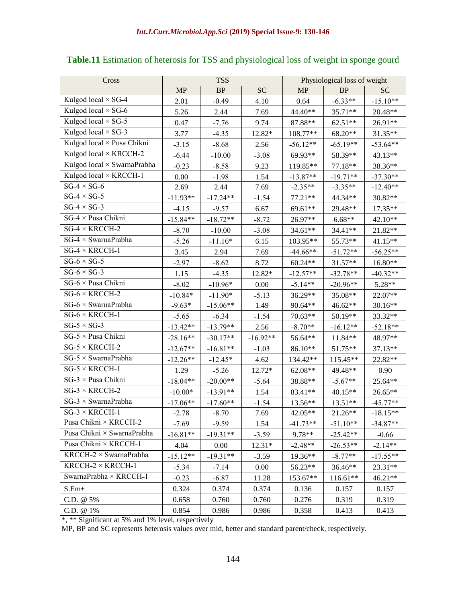| Cross                                 | <b>TSS</b> |            |            | Physiological loss of weight |            |            |
|---------------------------------------|------------|------------|------------|------------------------------|------------|------------|
|                                       | <b>MP</b>  | <b>BP</b>  | <b>SC</b>  | <b>MP</b>                    | BP         | <b>SC</b>  |
| Kulgod local × SG-4                   | 2.01       | $-0.49$    | 4.10       | 0.64                         | $-6.33**$  | $-15.10**$ |
| Kulgod local × SG-6                   | 5.26       | 2.44       | 7.69       | 44.40**                      | 35.71**    | 20.48**    |
| Kulgod local $\times$ SG-5            | 0.47       | $-7.76$    | 9.74       | 87.88**                      | 62.51**    | 26.91**    |
| Kulgod local $\times$ SG-3            | 3.77       | $-4.35$    | 12.82*     | 108.77**                     | 68.20**    | 31.35**    |
| Kulgod local × Pusa Chikni            | $-3.15$    | $-8.68$    | 2.56       | $-56.12**$                   | $-65.19**$ | $-53.64**$ |
| Kulgod local × KRCCH-2                | $-6.44$    | $-10.00$   | $-3.08$    | 69.93**                      | 58.39**    | 43.13**    |
| Kulgod local × SwarnaPrabha           | $-0.23$    | $-8.58$    | 9.23       | 119.85**                     | 77.18**    | 38.36**    |
| Kulgod local × KRCCH-1                | 0.00       | $-1.98$    | 1.54       | $-13.87**$                   | $-19.71**$ | $-37.30**$ |
| $SG-4 \times SG-6$                    | 2.69       | 2.44       | 7.69       | $-2.35**$                    | $-3.35**$  | $-12.40**$ |
| $SG-4 \times SG-5$                    | $-11.93**$ | $-17.24**$ | $-1.54$    | $77.21**$                    | 44.34**    | 30.82**    |
| $SG-4 \times SG-3$                    | $-4.15$    | $-9.57$    | 6.67       | 69.61**                      | 29.48**    | 17.35**    |
| $SG-4 \times P$ usa Chikni            | $-15.84**$ | $-18.72**$ | $-8.72$    | 26.97**                      | $6.68**$   | 42.10**    |
| $SG-4 \times KRCCH-2$                 | $-8.70$    | $-10.00$   | $-3.08$    | 34.61**                      | 34.41**    | 21.82**    |
| $\overline{SG}$ -4 × SwarnaPrabha     | $-5.26$    | $-11.16*$  | 6.15       | 103.95**                     | 55.73**    | 41.15**    |
| $SG-4 \times KRCCH-1$                 | 3.45       | 2.94       | 7.69       | $-44.66**$                   | $-51.72**$ | $-56.25**$ |
| $SG-6 \times SG-5$                    | $-2.97$    | $-8.62$    | 8.72       | $60.24**$                    | 31.57**    | 16.80**    |
| $SG-6 \times SG-3$                    | 1.15       | $-4.35$    | 12.82*     | $-12.57**$                   | $-32.78**$ | $-40.32**$ |
| $\overline{SG}$ -6 × Pusa Chikni      | $-8.02$    | $-10.96*$  | 0.00       | $-5.14**$                    | $-20.96**$ | 5.28**     |
| $SG-6 \times KRCCH-2$                 | $-10.84*$  | $-11.90*$  | $-5.13$    | 36.29**                      | 35.08**    | 22.07**    |
| $SG-6 \times SwarnaPrabha$            | $-9.63*$   | $-15.06**$ | 1.49       | 90.64**                      | 46.62**    | 30.16**    |
| $SG-6 \times KRCCH-1$                 | $-5.65$    | $-6.34$    | $-1.54$    | 70.63**                      | $50.19**$  | 33.32**    |
| $SG-5 \times SG-3$                    | $-13.42**$ | $-13.79**$ | 2.56       | $-8.70**$                    | $-16.12**$ | $-52.18**$ |
| $SG-5 \times P$ usa Chikni            | $-28.16**$ | $-30.17**$ | $-16.92**$ | 56.64**                      | 11.84**    | 48.97**    |
| $SG-5 \times KRCCH-2$                 | $-12.67**$ | $-16.81**$ | $-1.03$    | 86.10**                      | 51.75**    | 37.13**    |
| $\overline{SG-5 \times Sw$ arnaPrabha | $-12.26**$ | $-12.45*$  | 4.62       | 134.42**                     | 115.45**   | 22.82**    |
| $SG-5 \times KRCCH-1$                 | 1.29       | $-5.26$    | 12.72*     | 62.08**                      | 49.48**    | 0.90       |
| $SG-3 \times P$ usa Chikni            | $-18.04**$ | $-20.00**$ | $-5.64$    | 38.88**                      | $-5.67**$  | 25.64**    |
| $SG-3 \times KRCCH-2$                 | $-10.00*$  | $-13.91**$ | 1.54       | 83.41**                      | 40.15**    | 26.65**    |
| $SG-3 \times SwarnaPrabha$            | $-17.06**$ | $-17.60**$ | $-1.54$    | 13.56**                      | 13.51**    | $-45.77**$ |
| $SG-3 \times KRCCH-1$                 | $-2.78$    | $-8.70$    | 7.69       | 42.05**                      | 21.26**    | $-18.15**$ |
| Pusa Chikni × KRCCH-2                 | $-7.69$    | $-9.59$    | 1.54       | $-41.73**$                   | $-51.10**$ | $-34.87**$ |
| Pusa Chikni × SwarnaPrabha            | $-16.81**$ | $-19.31**$ | $-3.59$    | 9.78**                       | $-25.42**$ | $-0.66$    |
| Pusa Chikni × KRCCH-1                 | 4.04       | 0.00       | $12.31*$   | $-2.48**$                    | $-26.53**$ | $-2.14**$  |
| $KRCCH-2 \times SwarnaPrabha$         | $-15.12**$ | $-19.31**$ | $-3.59$    | 19.36**                      | $-8.77**$  | $-17.55**$ |
| KRCCH- $2 \times$ KRCCH-1             | $-5.34$    | $-7.14$    | 0.00       | 56.23**                      | 36.46**    | 23.31**    |
| SwarnaPrabha × KRCCH-1                | $-0.23$    | $-6.87$    | 11.28      | 153.67**                     | 116.61**   | 46.21**    |
| $S.Em\pm$                             | 0.324      | 0.374      | 0.374      | 0.136                        | 0.157      | 0.157      |
| C.D. @ 5%                             | 0.658      | 0.760      | 0.760      | 0.276                        | 0.319      | 0.319      |
| C.D. @ 1%                             | 0.854      | 0.986      | 0.986      | 0.358                        | 0.413      | 0.413      |

# **Table.11** Estimation of heterosis for TSS and physiological loss of weight in sponge gourd

\*, \*\* Significant at 5% and 1% level, respectively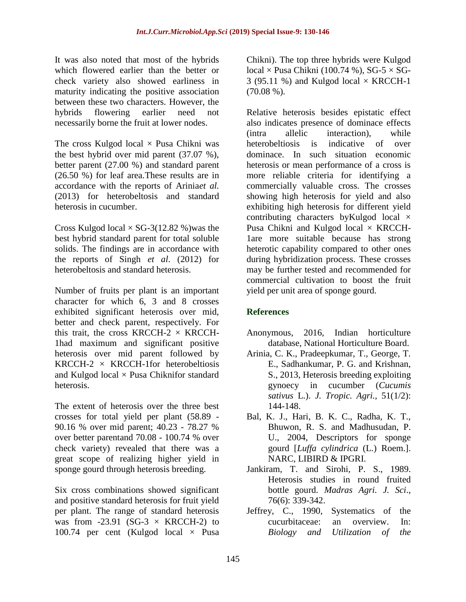It was also noted that most of the hybrids which flowered earlier than the better or check variety also showed earliness in maturity indicating the positive association between these two characters. However, the hybrids flowering earlier need not necessarily borne the fruit at lower nodes.

The cross Kulgod local  $\times$  Pusa Chikni was the best hybrid over mid parent (37.07 %), better parent (27.00 %) and standard parent (26.50 %) for leaf area.These results are in accordance with the reports of Arinia*et al.*  (2013) for heterobeltosis and standard heterosis in cucumber.

Cross Kulgod local  $\times$  SG-3(12.82 %) was the best hybrid standard parent for total soluble solids. The findings are in accordance with the reports of Singh *et al*. (2012) for heterobeltosis and standard heterosis.

Number of fruits per plant is an important character for which 6, 3 and 8 crosses exhibited significant heterosis over mid, better and check parent, respectively. For this trait, the cross KRCCH-2  $\times$  KRCCH-1had maximum and significant positive heterosis over mid parent followed by  $KRCCH-2 \times KRCCH-1$  for heterobeltiosis and Kulgod local  $\times$  Pusa Chiknifor standard heterosis.

The extent of heterosis over the three best crosses for total yield per plant (58.89 - 90.16 % over mid parent; 40.23 - 78.27 % over better parentand 70.08 - 100.74 % over check variety) revealed that there was a great scope of realizing higher yield in sponge gourd through heterosis breeding.

Six cross combinations showed significant and positive standard heterosis for fruit yield per plant. The range of standard heterosis was from -23.91 (SG-3  $\times$  KRCCH-2) to 100.74 per cent (Kulgod local  $\times$  Pusa

Chikni). The top three hybrids were Kulgod local  $\times$  Pusa Chikni (100.74 %), SG-5  $\times$  SG-3 (95.11 %) and Kulgod local  $\times$  KRCCH-1  $(70.08\%).$ 

Relative heterosis besides epistatic effect also indicates presence of dominace effects (intra allelic interaction), while heterobeltiosis is indicative of over dominace. In such situation economic heterosis or mean performance of a cross is more reliable criteria for identifying a commercially valuable cross. The crosses showing high heterosis for yield and also exhibiting high heterosis for different yield contributing characters byKulgod local × Pusa Chikni and Kulgod local  $\times$  KRCCH-1are more suitable because has strong heterotic capability compared to other ones during hybridization process. These crosses may be further tested and recommended for commercial cultivation to boost the fruit yield per unit area of sponge gourd.

#### **References**

- Anonymous, 2016, Indian horticulture database, National Horticulture Board.
- Arinia, C. K., Pradeepkumar, T., George, T. E., Sadhankumar, P. G. and Krishnan, S., 2013, Heterosis breeding exploiting gynoecy in cucumber (*Cucumis sativus* L.). *J. Tropic. Agri.,* 51(1/2): 144-148.
- Bal, K. J., Hari, B. K. C., Radha, K. T., Bhuwon, R. S. and Madhusudan, P. U., 2004, Descriptors for sponge gourd [*Luffa cylindrica* (L.) Roem.]. NARC, LIBIRD & IPGRI.
- Jankiram, T. and Sirohi, P. S., 1989. Heterosis studies in round fruited bottle gourd. *Madras Agri. J. Sci*., 76(6): 339-342.
- Jeffrey, C., 1990, Systematics of the cucurbitaceae: an overview. In: *Biology and Utilization of the*